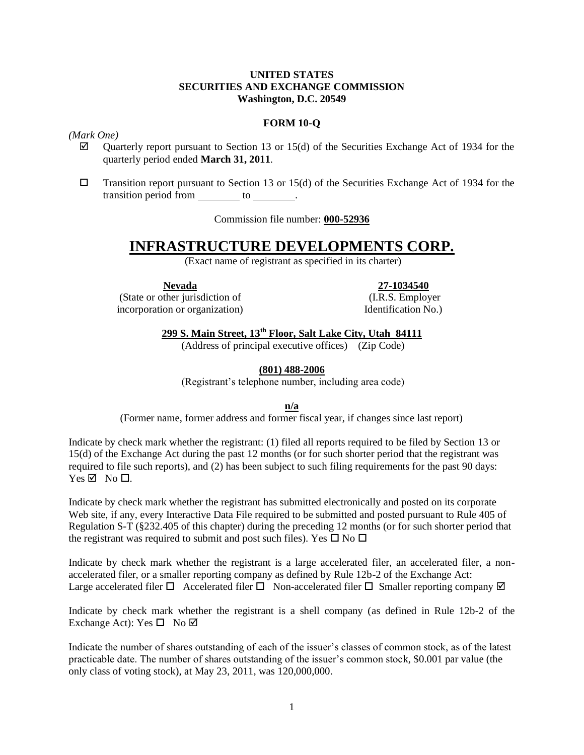#### **UNITED STATES SECURITIES AND EXCHANGE COMMISSION Washington, D.C. 20549**

## **FORM 10-Q**

#### *(Mark One)*

- $\boxtimes$  Quarterly report pursuant to Section 13 or 15(d) of the Securities Exchange Act of 1934 for the quarterly period ended **March 31, 2011**.
- $\square$  Transition report pursuant to Section 13 or 15(d) of the Securities Exchange Act of 1934 for the transition period from to to the set of the set of the set of the set of the set of the set of the set of the set of the set of the set of the set of the set of the set of the set of the set of the set of the set of the se

Commission file number: **000-52936**

# **INFRASTRUCTURE DEVELOPMENTS CORP.**

(Exact name of registrant as specified in its charter)

**Nevada**

**27-1034540**

(State or other jurisdiction of incorporation or organization)

(I.R.S. Employer Identification No.)

**299 S. Main Street, 13th Floor, Salt Lake City, Utah 84111**

(Address of principal executive offices) (Zip Code)

**(801) 488-2006**

(Registrant's telephone number, including area code)

**n/a**

(Former name, former address and former fiscal year, if changes since last report)

Indicate by check mark whether the registrant: (1) filed all reports required to be filed by Section 13 or 15(d) of the Exchange Act during the past 12 months (or for such shorter period that the registrant was required to file such reports), and (2) has been subject to such filing requirements for the past 90 days:  $Yes \nightharpoonup$  No  $\square$ .

Indicate by check mark whether the registrant has submitted electronically and posted on its corporate Web site, if any, every Interactive Data File required to be submitted and posted pursuant to Rule 405 of Regulation S-T (§232.405 of this chapter) during the preceding 12 months (or for such shorter period that the registrant was required to submit and post such files). Yes  $\Box$  No  $\Box$ 

Indicate by check mark whether the registrant is a large accelerated filer, an accelerated filer, a nonaccelerated filer, or a smaller reporting company as defined by Rule 12b-2 of the Exchange Act: Large accelerated filer  $\Box$  Accelerated filer  $\Box$  Non-accelerated filer  $\Box$  Smaller reporting company  $\boxtimes$ 

Indicate by check mark whether the registrant is a shell company (as defined in Rule 12b-2 of the Exchange Act): Yes  $\square$  No  $\square$ 

Indicate the number of shares outstanding of each of the issuer's classes of common stock, as of the latest practicable date. The number of shares outstanding of the issuer's common stock, \$0.001 par value (the only class of voting stock), at May 23, 2011, was 120,000,000.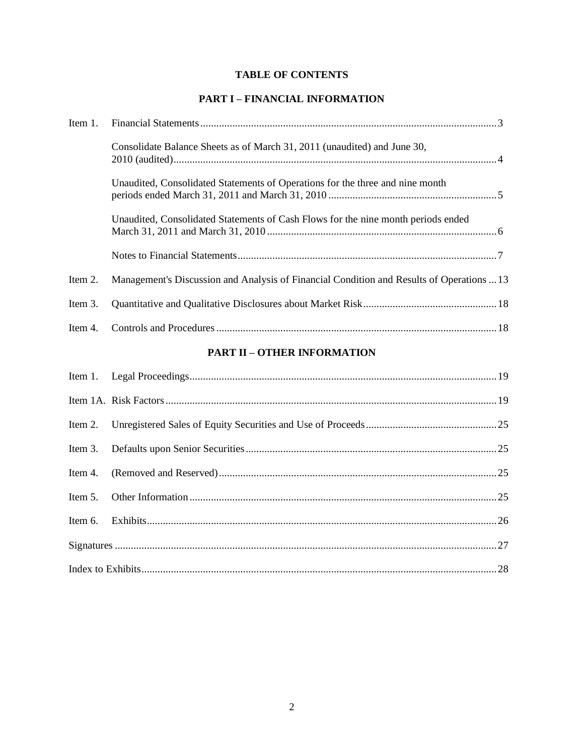## **TABLE OF CONTENTS**

## **PART I – FINANCIAL INFORMATION**

| Item 1. |                                                                                           |
|---------|-------------------------------------------------------------------------------------------|
|         | Consolidate Balance Sheets as of March 31, 2011 (unaudited) and June 30,                  |
|         | Unaudited, Consolidated Statements of Operations for the three and nine month             |
|         | Unaudited, Consolidated Statements of Cash Flows for the nine month periods ended         |
|         |                                                                                           |
| Item 2. | Management's Discussion and Analysis of Financial Condition and Results of Operations  13 |
| Item 3. |                                                                                           |
|         |                                                                                           |

# **PART II – OTHER INFORMATION**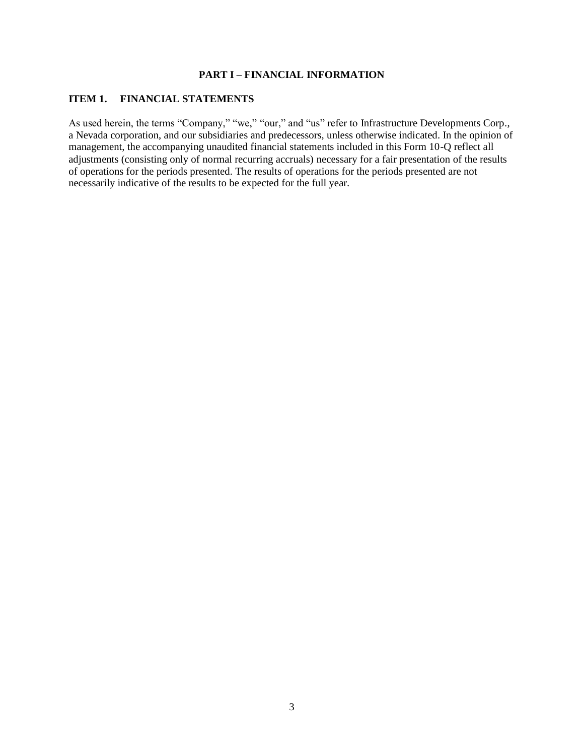## **PART I – FINANCIAL INFORMATION**

#### **ITEM 1. FINANCIAL STATEMENTS**

As used herein, the terms "Company," "we," "our," and "us" refer to Infrastructure Developments Corp., a Nevada corporation, and our subsidiaries and predecessors, unless otherwise indicated. In the opinion of management, the accompanying unaudited financial statements included in this Form 10-Q reflect all adjustments (consisting only of normal recurring accruals) necessary for a fair presentation of the results of operations for the periods presented. The results of operations for the periods presented are not necessarily indicative of the results to be expected for the full year.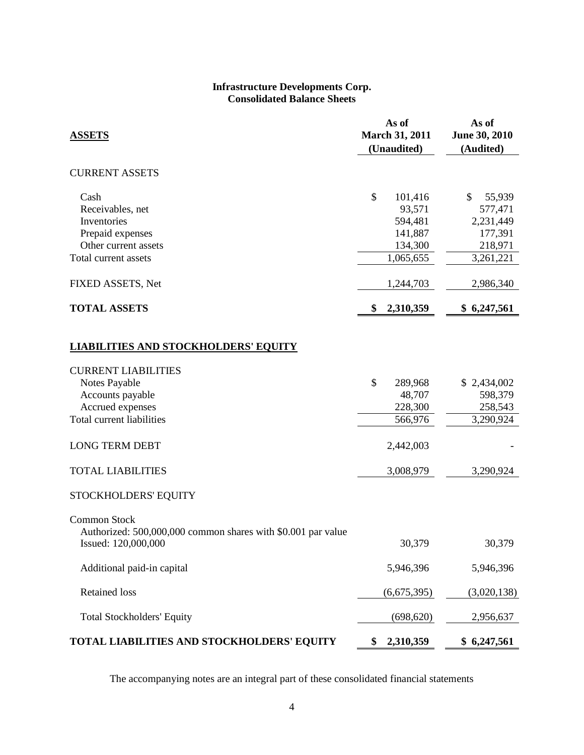#### **Infrastructure Developments Corp. Consolidated Balance Sheets**

| <b>ASSETS</b>                                                                                                    |    | As of<br><b>March 31, 2011</b><br>(Unaudited)                   | As of<br>June 30, 2010<br>(Audited)                                     |  |
|------------------------------------------------------------------------------------------------------------------|----|-----------------------------------------------------------------|-------------------------------------------------------------------------|--|
| <b>CURRENT ASSETS</b>                                                                                            |    |                                                                 |                                                                         |  |
| Cash<br>Receivables, net<br>Inventories<br>Prepaid expenses<br>Other current assets<br>Total current assets      | \$ | 101,416<br>93,571<br>594,481<br>141,887<br>134,300<br>1,065,655 | \$<br>55,939<br>577,471<br>2,231,449<br>177,391<br>218,971<br>3,261,221 |  |
| FIXED ASSETS, Net                                                                                                |    | 1,244,703                                                       | 2,986,340                                                               |  |
| <b>TOTAL ASSETS</b>                                                                                              | \$ | 2,310,359                                                       | \$6,247,561                                                             |  |
| <b>LIABILITIES AND STOCKHOLDERS' EQUITY</b>                                                                      |    |                                                                 |                                                                         |  |
| <b>CURRENT LIABILITIES</b><br>Notes Payable<br>Accounts payable<br>Accrued expenses<br>Total current liabilities | \$ | 289,968<br>48,707<br>228,300<br>566,976                         | \$2,434,002<br>598,379<br>258,543<br>3,290,924                          |  |
| <b>LONG TERM DEBT</b>                                                                                            |    | 2,442,003                                                       |                                                                         |  |
| <b>TOTAL LIABILITIES</b>                                                                                         |    | 3,008,979                                                       | 3,290,924                                                               |  |
| STOCKHOLDERS' EQUITY                                                                                             |    |                                                                 |                                                                         |  |
| <b>Common Stock</b><br>Authorized: 500,000,000 common shares with \$0.001 par value<br>Issued: 120,000,000       |    | 30,379                                                          | 30,379                                                                  |  |
| Additional paid-in capital                                                                                       |    | 5,946,396                                                       | 5,946,396                                                               |  |
| <b>Retained loss</b>                                                                                             |    | (6,675,395)                                                     | (3,020,138)                                                             |  |
| <b>Total Stockholders' Equity</b>                                                                                |    | (698, 620)                                                      | 2,956,637                                                               |  |
| TOTAL LIABILITIES AND STOCKHOLDERS' EQUITY                                                                       | \$ | 2,310,359                                                       | \$6,247,561                                                             |  |

The accompanying notes are an integral part of these consolidated financial statements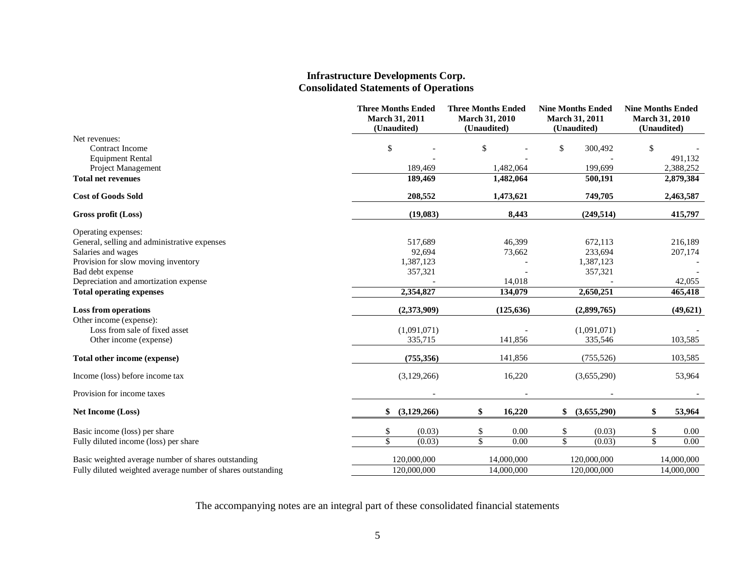#### **Infrastructure Developments Corp. Consolidated Statements of Operations**

|                                                             | <b>Three Months Ended</b><br>March 31, 2011<br>(Unaudited) | <b>Three Months Ended</b><br><b>March 31, 2010</b><br>(Unaudited) | <b>Nine Months Ended</b><br>March 31, 2011<br>(Unaudited) | <b>Nine Months Ended</b><br><b>March 31, 2010</b><br>(Unaudited) |
|-------------------------------------------------------------|------------------------------------------------------------|-------------------------------------------------------------------|-----------------------------------------------------------|------------------------------------------------------------------|
| Net revenues:                                               |                                                            |                                                                   |                                                           |                                                                  |
| Contract Income                                             | \$                                                         | \$                                                                | \$<br>300,492                                             | \$                                                               |
| <b>Equipment Rental</b>                                     |                                                            |                                                                   |                                                           | 491,132                                                          |
| Project Management                                          | 189.469                                                    | 1,482,064                                                         | 199.699                                                   | 2,388,252                                                        |
| <b>Total net revenues</b>                                   | 189,469                                                    | 1,482,064                                                         | 500,191                                                   | 2,879,384                                                        |
| <b>Cost of Goods Sold</b>                                   | 208,552                                                    | 1,473,621                                                         | 749,705                                                   | 2,463,587                                                        |
| Gross profit (Loss)                                         | (19,083)                                                   | 8,443                                                             | (249, 514)                                                | 415,797                                                          |
| Operating expenses:                                         |                                                            |                                                                   |                                                           |                                                                  |
| General, selling and administrative expenses                | 517.689                                                    | 46,399                                                            | 672,113                                                   | 216.189                                                          |
| Salaries and wages                                          | 92,694                                                     | 73,662                                                            | 233,694                                                   | 207,174                                                          |
| Provision for slow moving inventory                         | 1,387,123                                                  |                                                                   | 1,387,123                                                 |                                                                  |
| Bad debt expense<br>Depreciation and amortization expense   | 357,321                                                    | 14,018                                                            | 357,321                                                   | 42,055                                                           |
| <b>Total operating expenses</b>                             | 2,354,827                                                  | 134,079                                                           | 2,650,251                                                 | 465,418                                                          |
| <b>Loss from operations</b>                                 | (2,373,909)                                                | (125, 636)                                                        | (2,899,765)                                               | (49, 621)                                                        |
| Other income (expense):                                     |                                                            |                                                                   |                                                           |                                                                  |
| Loss from sale of fixed asset                               | (1,091,071)                                                |                                                                   | (1,091,071)                                               |                                                                  |
| Other income (expense)                                      | 335,715                                                    | 141,856                                                           | 335.546                                                   | 103,585                                                          |
| Total other income (expense)                                | (755, 356)                                                 | 141,856                                                           | (755, 526)                                                | 103,585                                                          |
| Income (loss) before income tax                             | (3,129,266)                                                | 16,220                                                            | (3,655,290)                                               | 53,964                                                           |
| Provision for income taxes                                  |                                                            |                                                                   |                                                           |                                                                  |
| <b>Net Income (Loss)</b>                                    | \$<br>(3,129,266)                                          | \$<br>16,220                                                      | (3,655,290)<br>\$                                         | 53,964                                                           |
| Basic income (loss) per share                               | (0.03)<br>\$                                               | \$<br>0.00                                                        | (0.03)<br>\$                                              | 0.00                                                             |
| Fully diluted income (loss) per share                       | \$<br>(0.03)                                               | $\overline{\mathcal{S}}$<br>0.00                                  | \$<br>(0.03)                                              | \$<br>0.00                                                       |
| Basic weighted average number of shares outstanding         | 120,000,000                                                | 14,000,000                                                        | 120,000,000                                               | 14,000,000                                                       |
| Fully diluted weighted average number of shares outstanding | 120,000,000                                                | 14,000,000                                                        | 120,000,000                                               | 14,000,000                                                       |

The accompanying notes are an integral part of these consolidated financial statements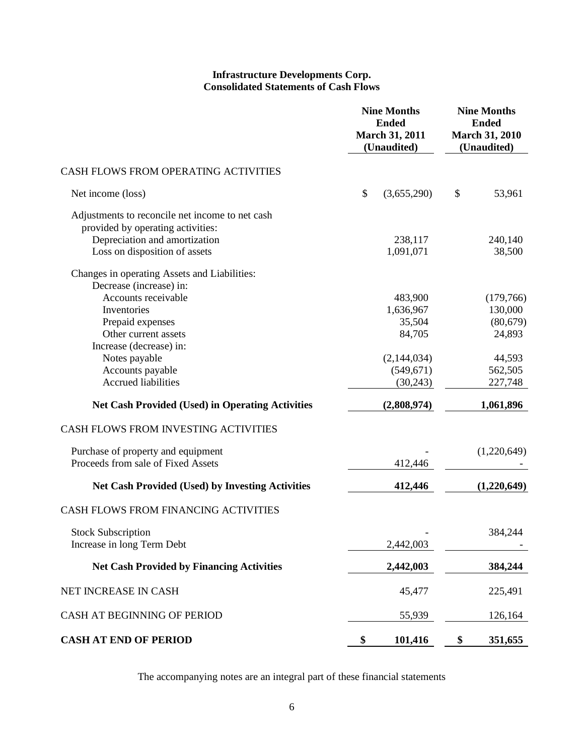#### **Infrastructure Developments Corp. Consolidated Statements of Cash Flows**

|                                                         |    | <b>Nine Months</b><br><b>Ended</b><br><b>March 31, 2011</b><br>(Unaudited) | <b>Nine Months</b><br><b>Ended</b><br><b>March 31, 2010</b><br>(Unaudited) |             |
|---------------------------------------------------------|----|----------------------------------------------------------------------------|----------------------------------------------------------------------------|-------------|
| CASH FLOWS FROM OPERATING ACTIVITIES                    |    |                                                                            |                                                                            |             |
| Net income (loss)                                       | \$ | (3,655,290)                                                                | \$                                                                         | 53,961      |
| Adjustments to reconcile net income to net cash         |    |                                                                            |                                                                            |             |
| provided by operating activities:                       |    |                                                                            |                                                                            |             |
| Depreciation and amortization                           |    | 238,117                                                                    |                                                                            | 240,140     |
| Loss on disposition of assets                           |    | 1,091,071                                                                  |                                                                            | 38,500      |
| Changes in operating Assets and Liabilities:            |    |                                                                            |                                                                            |             |
| Decrease (increase) in:                                 |    |                                                                            |                                                                            |             |
| Accounts receivable                                     |    | 483,900                                                                    |                                                                            | (179,766)   |
| Inventories                                             |    | 1,636,967                                                                  |                                                                            | 130,000     |
| Prepaid expenses                                        |    | 35,504                                                                     |                                                                            | (80, 679)   |
| Other current assets                                    |    | 84,705                                                                     |                                                                            | 24,893      |
| Increase (decrease) in:                                 |    |                                                                            |                                                                            |             |
| Notes payable                                           |    | (2,144,034)                                                                |                                                                            | 44,593      |
| Accounts payable                                        |    | (549, 671)                                                                 |                                                                            | 562,505     |
| <b>Accrued liabilities</b>                              |    | (30,243)                                                                   |                                                                            | 227,748     |
| <b>Net Cash Provided (Used) in Operating Activities</b> |    | (2,808,974)                                                                |                                                                            | 1,061,896   |
| CASH FLOWS FROM INVESTING ACTIVITIES                    |    |                                                                            |                                                                            |             |
| Purchase of property and equipment                      |    |                                                                            |                                                                            | (1,220,649) |
| Proceeds from sale of Fixed Assets                      |    | 412,446                                                                    |                                                                            |             |
| <b>Net Cash Provided (Used) by Investing Activities</b> |    | 412,446                                                                    |                                                                            | (1,220,649) |
| CASH FLOWS FROM FINANCING ACTIVITIES                    |    |                                                                            |                                                                            |             |
| <b>Stock Subscription</b>                               |    |                                                                            |                                                                            | 384,244     |
| Increase in long Term Debt                              |    | 2,442,003                                                                  |                                                                            |             |
| <b>Net Cash Provided by Financing Activities</b>        |    | 2,442,003                                                                  |                                                                            | 384,244     |
| NET INCREASE IN CASH                                    |    | 45,477                                                                     |                                                                            | 225,491     |
| CASH AT BEGINNING OF PERIOD                             |    | 55,939                                                                     |                                                                            | 126,164     |
| <b>CASH AT END OF PERIOD</b>                            | \$ | 101,416                                                                    | \$                                                                         | 351,655     |

The accompanying notes are an integral part of these financial statements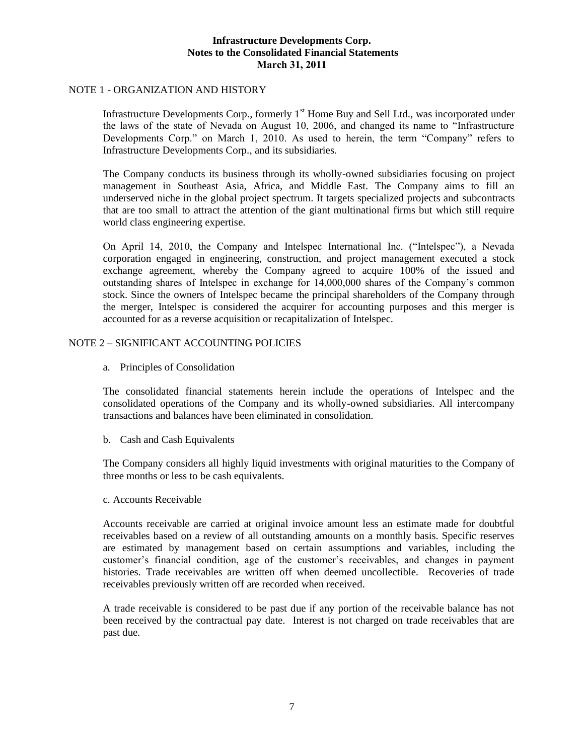#### NOTE 1 - ORGANIZATION AND HISTORY

Infrastructure Developments Corp., formerly  $1<sup>st</sup>$  Home Buy and Sell Ltd., was incorporated under the laws of the state of Nevada on August 10, 2006, and changed its name to "Infrastructure Developments Corp." on March 1, 2010. As used to herein, the term "Company" refers to Infrastructure Developments Corp., and its subsidiaries.

The Company conducts its business through its wholly-owned subsidiaries focusing on project management in Southeast Asia, Africa, and Middle East. The Company aims to fill an underserved niche in the global project spectrum. It targets specialized projects and subcontracts that are too small to attract the attention of the giant multinational firms but which still require world class engineering expertise.

On April 14, 2010, the Company and Intelspec International Inc. ("Intelspec"), a Nevada corporation engaged in engineering, construction, and project management executed a stock exchange agreement, whereby the Company agreed to acquire 100% of the issued and outstanding shares of Intelspec in exchange for 14,000,000 shares of the Company's common stock. Since the owners of Intelspec became the principal shareholders of the Company through the merger, Intelspec is considered the acquirer for accounting purposes and this merger is accounted for as a reverse acquisition or recapitalization of Intelspec.

### NOTE 2 – SIGNIFICANT ACCOUNTING POLICIES

a. Principles of Consolidation

The consolidated financial statements herein include the operations of Intelspec and the consolidated operations of the Company and its wholly-owned subsidiaries. All intercompany transactions and balances have been eliminated in consolidation.

b. Cash and Cash Equivalents

The Company considers all highly liquid investments with original maturities to the Company of three months or less to be cash equivalents.

c. Accounts Receivable

Accounts receivable are carried at original invoice amount less an estimate made for doubtful receivables based on a review of all outstanding amounts on a monthly basis. Specific reserves are estimated by management based on certain assumptions and variables, including the customer's financial condition, age of the customer's receivables, and changes in payment histories. Trade receivables are written off when deemed uncollectible. Recoveries of trade receivables previously written off are recorded when received.

A trade receivable is considered to be past due if any portion of the receivable balance has not been received by the contractual pay date. Interest is not charged on trade receivables that are past due.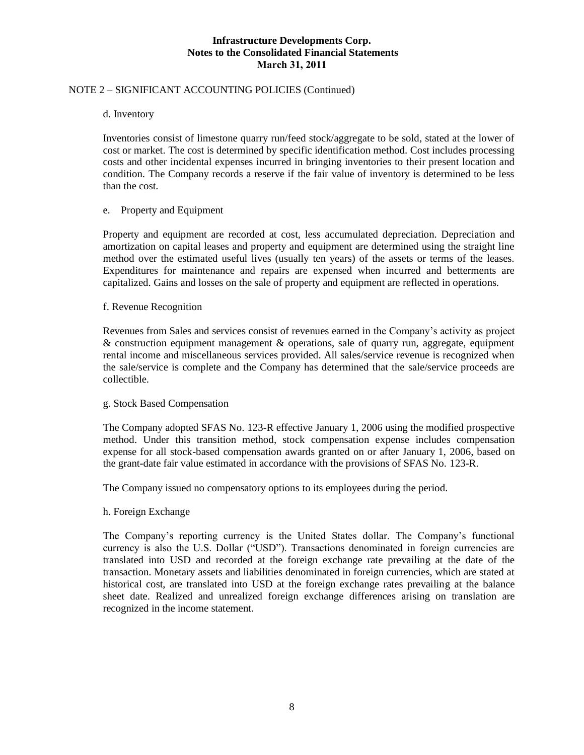### NOTE 2 – SIGNIFICANT ACCOUNTING POLICIES (Continued)

d. Inventory

Inventories consist of limestone quarry run/feed stock/aggregate to be sold, stated at the lower of cost or market. The cost is determined by specific identification method. Cost includes processing costs and other incidental expenses incurred in bringing inventories to their present location and condition. The Company records a reserve if the fair value of inventory is determined to be less than the cost.

#### e. Property and Equipment

Property and equipment are recorded at cost, less accumulated depreciation. Depreciation and amortization on capital leases and property and equipment are determined using the straight line method over the estimated useful lives (usually ten years) of the assets or terms of the leases. Expenditures for maintenance and repairs are expensed when incurred and betterments are capitalized. Gains and losses on the sale of property and equipment are reflected in operations.

#### f. Revenue Recognition

Revenues from Sales and services consist of revenues earned in the Company's activity as project & construction equipment management & operations, sale of quarry run, aggregate, equipment rental income and miscellaneous services provided. All sales/service revenue is recognized when the sale/service is complete and the Company has determined that the sale/service proceeds are collectible.

#### g. Stock Based Compensation

The Company adopted SFAS No. 123-R effective January 1, 2006 using the modified prospective method. Under this transition method, stock compensation expense includes compensation expense for all stock-based compensation awards granted on or after January 1, 2006, based on the grant-date fair value estimated in accordance with the provisions of SFAS No. 123-R.

The Company issued no compensatory options to its employees during the period.

#### h. Foreign Exchange

The Company's reporting currency is the United States dollar. The Company's functional currency is also the U.S. Dollar ("USD"). Transactions denominated in foreign currencies are translated into USD and recorded at the foreign exchange rate prevailing at the date of the transaction. Monetary assets and liabilities denominated in foreign currencies, which are stated at historical cost, are translated into USD at the foreign exchange rates prevailing at the balance sheet date. Realized and unrealized foreign exchange differences arising on translation are recognized in the income statement.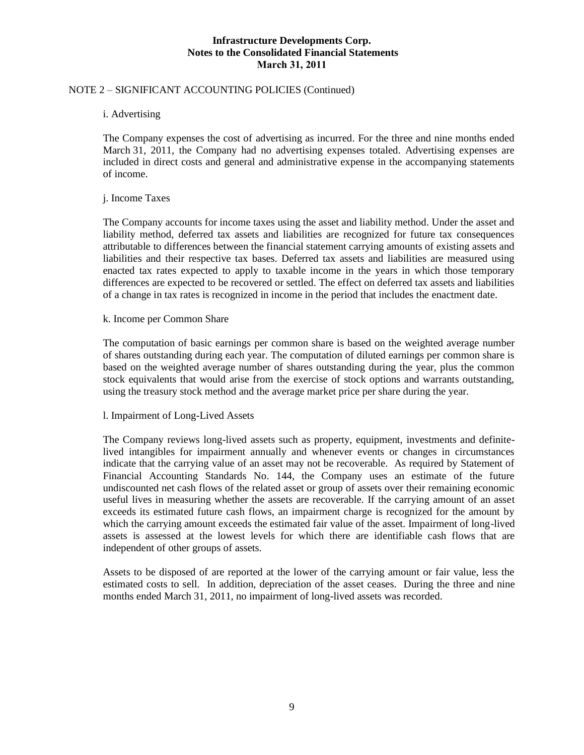### NOTE 2 – SIGNIFICANT ACCOUNTING POLICIES (Continued)

i. Advertising

The Company expenses the cost of advertising as incurred. For the three and nine months ended March 31, 2011, the Company had no advertising expenses totaled. Advertising expenses are included in direct costs and general and administrative expense in the accompanying statements of income.

#### j. Income Taxes

The Company accounts for income taxes using the asset and liability method. Under the asset and liability method, deferred tax assets and liabilities are recognized for future tax consequences attributable to differences between the financial statement carrying amounts of existing assets and liabilities and their respective tax bases. Deferred tax assets and liabilities are measured using enacted tax rates expected to apply to taxable income in the years in which those temporary differences are expected to be recovered or settled. The effect on deferred tax assets and liabilities of a change in tax rates is recognized in income in the period that includes the enactment date.

#### k. Income per Common Share

The computation of basic earnings per common share is based on the weighted average number of shares outstanding during each year. The computation of diluted earnings per common share is based on the weighted average number of shares outstanding during the year, plus the common stock equivalents that would arise from the exercise of stock options and warrants outstanding, using the treasury stock method and the average market price per share during the year.

#### l. Impairment of Long-Lived Assets

The Company reviews long-lived assets such as property, equipment, investments and definitelived intangibles for impairment annually and whenever events or changes in circumstances indicate that the carrying value of an asset may not be recoverable. As required by Statement of Financial Accounting Standards No. 144, the Company uses an estimate of the future undiscounted net cash flows of the related asset or group of assets over their remaining economic useful lives in measuring whether the assets are recoverable. If the carrying amount of an asset exceeds its estimated future cash flows, an impairment charge is recognized for the amount by which the carrying amount exceeds the estimated fair value of the asset. Impairment of long-lived assets is assessed at the lowest levels for which there are identifiable cash flows that are independent of other groups of assets.

Assets to be disposed of are reported at the lower of the carrying amount or fair value, less the estimated costs to sell. In addition, depreciation of the asset ceases. During the three and nine months ended March 31, 2011, no impairment of long-lived assets was recorded.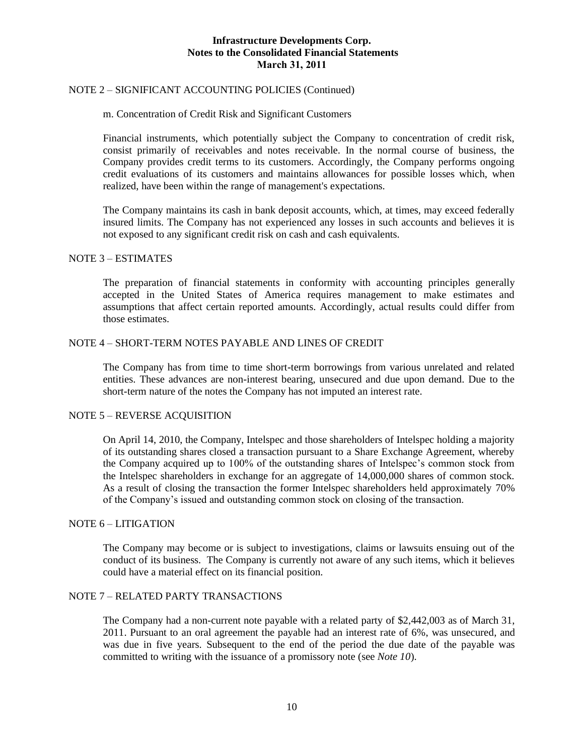### NOTE 2 – SIGNIFICANT ACCOUNTING POLICIES (Continued)

#### m. Concentration of Credit Risk and Significant Customers

Financial instruments, which potentially subject the Company to concentration of credit risk, consist primarily of receivables and notes receivable. In the normal course of business, the Company provides credit terms to its customers. Accordingly, the Company performs ongoing credit evaluations of its customers and maintains allowances for possible losses which, when realized, have been within the range of management's expectations.

The Company maintains its cash in bank deposit accounts, which, at times, may exceed federally insured limits. The Company has not experienced any losses in such accounts and believes it is not exposed to any significant credit risk on cash and cash equivalents.

#### NOTE 3 – ESTIMATES

The preparation of financial statements in conformity with accounting principles generally accepted in the United States of America requires management to make estimates and assumptions that affect certain reported amounts. Accordingly, actual results could differ from those estimates.

#### NOTE 4 – SHORT-TERM NOTES PAYABLE AND LINES OF CREDIT

The Company has from time to time short-term borrowings from various unrelated and related entities. These advances are non-interest bearing, unsecured and due upon demand. Due to the short-term nature of the notes the Company has not imputed an interest rate.

#### NOTE 5 – REVERSE ACQUISITION

On April 14, 2010, the Company, Intelspec and those shareholders of Intelspec holding a majority of its outstanding shares closed a transaction pursuant to a Share Exchange Agreement, whereby the Company acquired up to 100% of the outstanding shares of Intelspec's common stock from the Intelspec shareholders in exchange for an aggregate of 14,000,000 shares of common stock. As a result of closing the transaction the former Intelspec shareholders held approximately 70% of the Company's issued and outstanding common stock on closing of the transaction.

#### NOTE 6 – LITIGATION

The Company may become or is subject to investigations, claims or lawsuits ensuing out of the conduct of its business. The Company is currently not aware of any such items, which it believes could have a material effect on its financial position.

#### NOTE 7 – RELATED PARTY TRANSACTIONS

The Company had a non-current note payable with a related party of \$2,442,003 as of March 31, 2011. Pursuant to an oral agreement the payable had an interest rate of 6%, was unsecured, and was due in five years. Subsequent to the end of the period the due date of the payable was committed to writing with the issuance of a promissory note (see *Note 10*).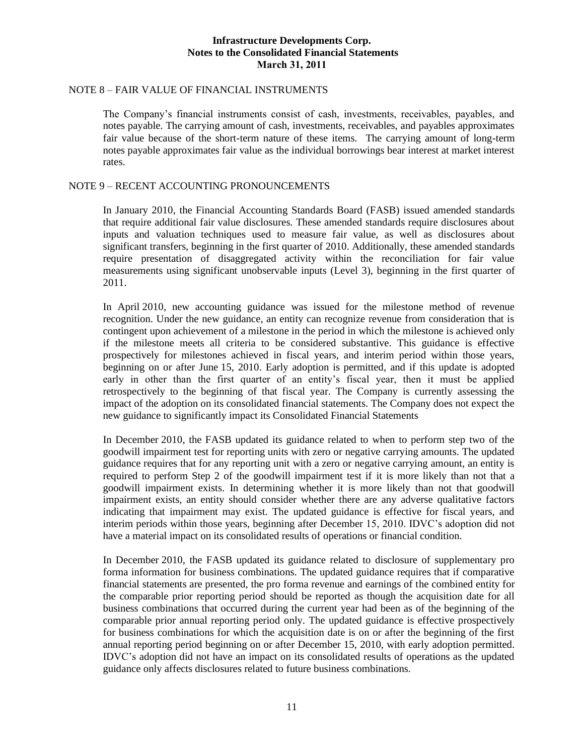### NOTE 8 – FAIR VALUE OF FINANCIAL INSTRUMENTS

The Company's financial instruments consist of cash, investments, receivables, payables, and notes payable. The carrying amount of cash, investments, receivables, and payables approximates fair value because of the short-term nature of these items. The carrying amount of long-term notes payable approximates fair value as the individual borrowings bear interest at market interest rates.

#### NOTE 9 – RECENT ACCOUNTING PRONOUNCEMENTS

In January 2010, the Financial Accounting Standards Board (FASB) issued amended standards that require additional fair value disclosures. These amended standards require disclosures about inputs and valuation techniques used to measure fair value, as well as disclosures about significant transfers, beginning in the first quarter of 2010. Additionally, these amended standards require presentation of disaggregated activity within the reconciliation for fair value measurements using significant unobservable inputs (Level 3), beginning in the first quarter of 2011.

In April 2010, new accounting guidance was issued for the milestone method of revenue recognition. Under the new guidance, an entity can recognize revenue from consideration that is contingent upon achievement of a milestone in the period in which the milestone is achieved only if the milestone meets all criteria to be considered substantive. This guidance is effective prospectively for milestones achieved in fiscal years, and interim period within those years, beginning on or after June 15, 2010. Early adoption is permitted, and if this update is adopted early in other than the first quarter of an entity's fiscal year, then it must be applied retrospectively to the beginning of that fiscal year. The Company is currently assessing the impact of the adoption on its consolidated financial statements. The Company does not expect the new guidance to significantly impact its Consolidated Financial Statements

In December 2010, the FASB updated its guidance related to when to perform step two of the goodwill impairment test for reporting units with zero or negative carrying amounts. The updated guidance requires that for any reporting unit with a zero or negative carrying amount, an entity is required to perform Step 2 of the goodwill impairment test if it is more likely than not that a goodwill impairment exists. In determining whether it is more likely than not that goodwill impairment exists, an entity should consider whether there are any adverse qualitative factors indicating that impairment may exist. The updated guidance is effective for fiscal years, and interim periods within those years, beginning after December 15, 2010. IDVC's adoption did not have a material impact on its consolidated results of operations or financial condition.

In December 2010, the FASB updated its guidance related to disclosure of supplementary pro forma information for business combinations. The updated guidance requires that if comparative financial statements are presented, the pro forma revenue and earnings of the combined entity for the comparable prior reporting period should be reported as though the acquisition date for all business combinations that occurred during the current year had been as of the beginning of the comparable prior annual reporting period only. The updated guidance is effective prospectively for business combinations for which the acquisition date is on or after the beginning of the first annual reporting period beginning on or after December 15, 2010, with early adoption permitted. IDVC's adoption did not have an impact on its consolidated results of operations as the updated guidance only affects disclosures related to future business combinations.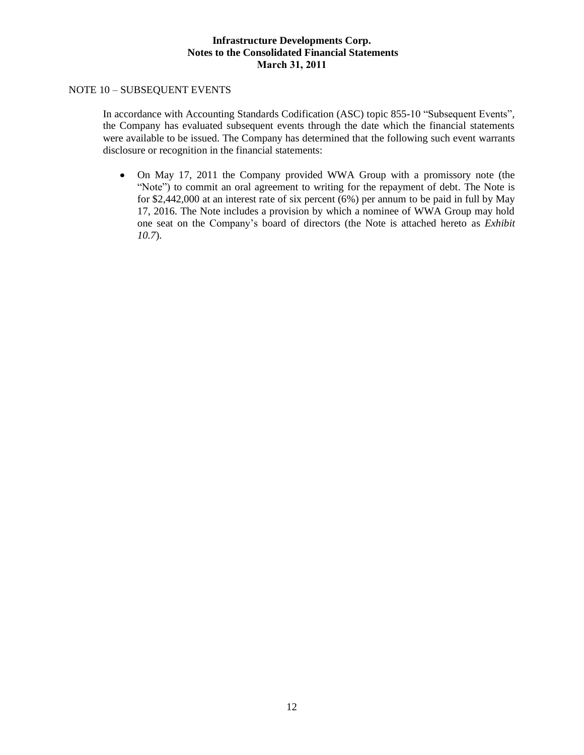## NOTE 10 – SUBSEQUENT EVENTS

In accordance with Accounting Standards Codification (ASC) topic 855-10 "Subsequent Events"*,*  the Company has evaluated subsequent events through the date which the financial statements were available to be issued. The Company has determined that the following such event warrants disclosure or recognition in the financial statements:

 $\bullet$ On May 17, 2011 the Company provided WWA Group with a promissory note (the "Note") to commit an oral agreement to writing for the repayment of debt. The Note is for \$2,442,000 at an interest rate of six percent (6%) per annum to be paid in full by May 17, 2016. The Note includes a provision by which a nominee of WWA Group may hold one seat on the Company's board of directors (the Note is attached hereto as *Exhibit 10.7*).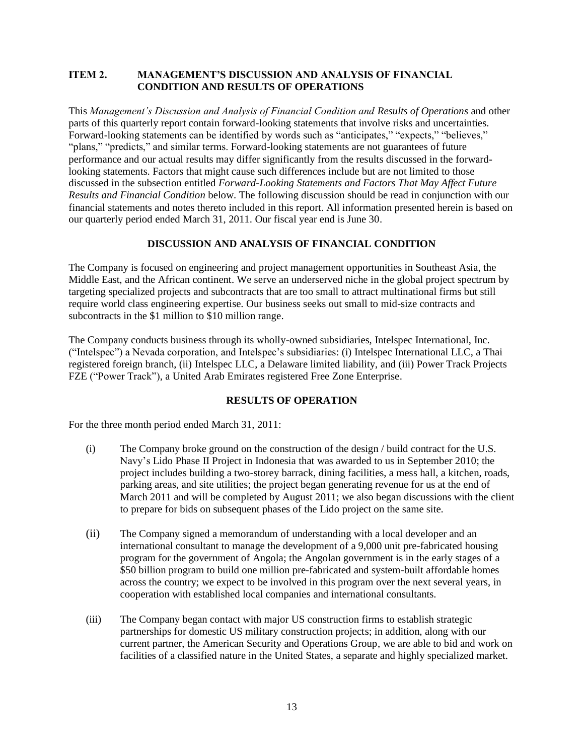## **ITEM 2. MANAGEMENT'S DISCUSSION AND ANALYSIS OF FINANCIAL CONDITION AND RESULTS OF OPERATIONS**

This *Management's Discussion and Analysis of Financial Condition and Results of Operations* and other parts of this quarterly report contain forward-looking statements that involve risks and uncertainties. Forward-looking statements can be identified by words such as "anticipates," "expects," "believes," "plans," "predicts," and similar terms. Forward-looking statements are not guarantees of future performance and our actual results may differ significantly from the results discussed in the forwardlooking statements. Factors that might cause such differences include but are not limited to those discussed in the subsection entitled *Forward-Looking Statements and Factors That May Affect Future Results and Financial Condition* below. The following discussion should be read in conjunction with our financial statements and notes thereto included in this report. All information presented herein is based on our quarterly period ended March 31, 2011. Our fiscal year end is June 30.

## **DISCUSSION AND ANALYSIS OF FINANCIAL CONDITION**

The Company is focused on engineering and project management opportunities in Southeast Asia, the Middle East, and the African continent. We serve an underserved niche in the global project spectrum by targeting specialized projects and subcontracts that are too small to attract multinational firms but still require world class engineering expertise. Our business seeks out small to mid-size contracts and subcontracts in the \$1 million to \$10 million range.

The Company conducts business through its wholly-owned subsidiaries, Intelspec International, Inc. ("Intelspec") a Nevada corporation, and Intelspec's subsidiaries: (i) Intelspec International LLC, a Thai registered foreign branch, (ii) Intelspec LLC, a Delaware limited liability, and (iii) Power Track Projects FZE ("Power Track"), a United Arab Emirates registered Free Zone Enterprise.

### **RESULTS OF OPERATION**

For the three month period ended March 31, 2011:

- (i) The Company broke ground on the construction of the design / build contract for the U.S. Navy's Lido Phase II Project in Indonesia that was awarded to us in September 2010; the project includes building a two-storey barrack, dining facilities, a mess hall, a kitchen, roads, parking areas, and site utilities; the project began generating revenue for us at the end of March 2011 and will be completed by August 2011; we also began discussions with the client to prepare for bids on subsequent phases of the Lido project on the same site.
- (ii) The Company signed a memorandum of understanding with a local developer and an international consultant to manage the development of a 9,000 unit pre-fabricated housing program for the government of Angola; the Angolan government is in the early stages of a \$50 billion program to build one million pre-fabricated and system-built affordable homes across the country; we expect to be involved in this program over the next several years, in cooperation with established local companies and international consultants.
- (iii) The Company began contact with major US construction firms to establish strategic partnerships for domestic US military construction projects; in addition, along with our current partner, the American Security and Operations Group, we are able to bid and work on facilities of a classified nature in the United States, a separate and highly specialized market.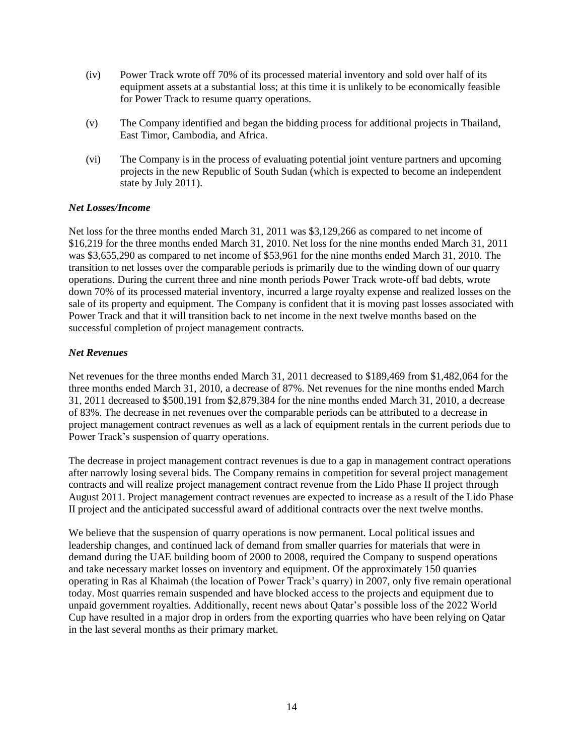- (iv) Power Track wrote off 70% of its processed material inventory and sold over half of its equipment assets at a substantial loss; at this time it is unlikely to be economically feasible for Power Track to resume quarry operations.
- (v) The Company identified and began the bidding process for additional projects in Thailand, East Timor, Cambodia, and Africa.
- (vi) The Company is in the process of evaluating potential joint venture partners and upcoming projects in the new Republic of South Sudan (which is expected to become an independent state by July 2011).

### *Net Losses/Income*

Net loss for the three months ended March 31, 2011 was \$3,129,266 as compared to net income of \$16,219 for the three months ended March 31, 2010. Net loss for the nine months ended March 31, 2011 was \$3,655,290 as compared to net income of \$53,961 for the nine months ended March 31, 2010. The transition to net losses over the comparable periods is primarily due to the winding down of our quarry operations. During the current three and nine month periods Power Track wrote-off bad debts, wrote down 70% of its processed material inventory, incurred a large royalty expense and realized losses on the sale of its property and equipment. The Company is confident that it is moving past losses associated with Power Track and that it will transition back to net income in the next twelve months based on the successful completion of project management contracts.

## *Net Revenues*

Net revenues for the three months ended March 31, 2011 decreased to \$189,469 from \$1,482,064 for the three months ended March 31, 2010, a decrease of 87%. Net revenues for the nine months ended March 31, 2011 decreased to \$500,191 from \$2,879,384 for the nine months ended March 31, 2010, a decrease of 83%. The decrease in net revenues over the comparable periods can be attributed to a decrease in project management contract revenues as well as a lack of equipment rentals in the current periods due to Power Track's suspension of quarry operations.

The decrease in project management contract revenues is due to a gap in management contract operations after narrowly losing several bids. The Company remains in competition for several project management contracts and will realize project management contract revenue from the Lido Phase II project through August 2011. Project management contract revenues are expected to increase as a result of the Lido Phase II project and the anticipated successful award of additional contracts over the next twelve months.

We believe that the suspension of quarry operations is now permanent. Local political issues and leadership changes, and continued lack of demand from smaller quarries for materials that were in demand during the UAE building boom of 2000 to 2008, required the Company to suspend operations and take necessary market losses on inventory and equipment. Of the approximately 150 quarries operating in Ras al Khaimah (the location of Power Track's quarry) in 2007, only five remain operational today. Most quarries remain suspended and have blocked access to the projects and equipment due to unpaid government royalties. Additionally, recent news about Qatar's possible loss of the 2022 World Cup have resulted in a major drop in orders from the exporting quarries who have been relying on Qatar in the last several months as their primary market.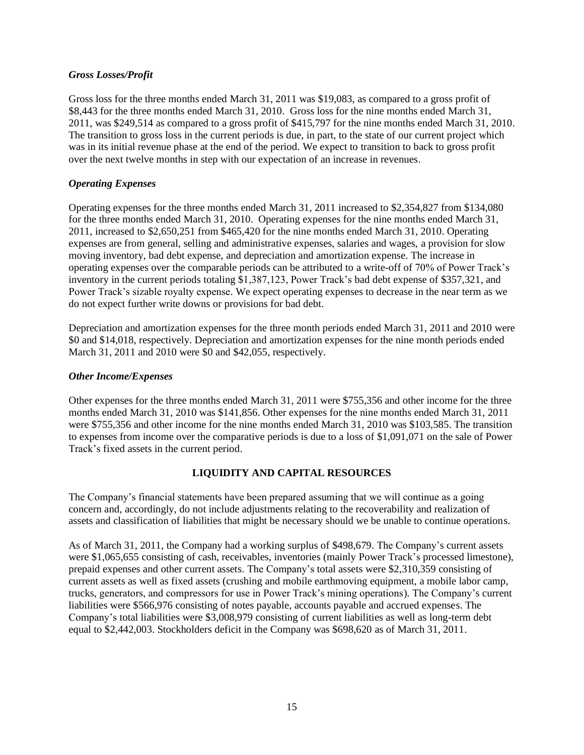### *Gross Losses/Profit*

Gross loss for the three months ended March 31, 2011 was \$19,083, as compared to a gross profit of \$8,443 for the three months ended March 31, 2010. Gross loss for the nine months ended March 31, 2011, was \$249,514 as compared to a gross profit of \$415,797 for the nine months ended March 31, 2010. The transition to gross loss in the current periods is due, in part, to the state of our current project which was in its initial revenue phase at the end of the period. We expect to transition to back to gross profit over the next twelve months in step with our expectation of an increase in revenues.

## *Operating Expenses*

Operating expenses for the three months ended March 31, 2011 increased to \$2,354,827 from \$134,080 for the three months ended March 31, 2010. Operating expenses for the nine months ended March 31, 2011, increased to \$2,650,251 from \$465,420 for the nine months ended March 31, 2010. Operating expenses are from general, selling and administrative expenses, salaries and wages, a provision for slow moving inventory, bad debt expense, and depreciation and amortization expense. The increase in operating expenses over the comparable periods can be attributed to a write-off of 70% of Power Track's inventory in the current periods totaling \$1,387,123, Power Track's bad debt expense of \$357,321, and Power Track's sizable royalty expense. We expect operating expenses to decrease in the near term as we do not expect further write downs or provisions for bad debt.

Depreciation and amortization expenses for the three month periods ended March 31, 2011 and 2010 were \$0 and \$14,018, respectively. Depreciation and amortization expenses for the nine month periods ended March 31, 2011 and 2010 were \$0 and \$42,055, respectively.

## *Other Income/Expenses*

Other expenses for the three months ended March 31, 2011 were \$755,356 and other income for the three months ended March 31, 2010 was \$141,856. Other expenses for the nine months ended March 31, 2011 were \$755,356 and other income for the nine months ended March 31, 2010 was \$103,585. The transition to expenses from income over the comparative periods is due to a loss of \$1,091,071 on the sale of Power Track's fixed assets in the current period.

## **LIQUIDITY AND CAPITAL RESOURCES**

The Company's financial statements have been prepared assuming that we will continue as a going concern and, accordingly, do not include adjustments relating to the recoverability and realization of assets and classification of liabilities that might be necessary should we be unable to continue operations.

As of March 31, 2011, the Company had a working surplus of \$498,679. The Company's current assets were \$1,065,655 consisting of cash, receivables, inventories (mainly Power Track's processed limestone), prepaid expenses and other current assets. The Company's total assets were \$2,310,359 consisting of current assets as well as fixed assets (crushing and mobile earthmoving equipment, a mobile labor camp, trucks, generators, and compressors for use in Power Track's mining operations). The Company's current liabilities were \$566,976 consisting of notes payable, accounts payable and accrued expenses. The Company's total liabilities were \$3,008,979 consisting of current liabilities as well as long-term debt equal to \$2,442,003. Stockholders deficit in the Company was \$698,620 as of March 31, 2011.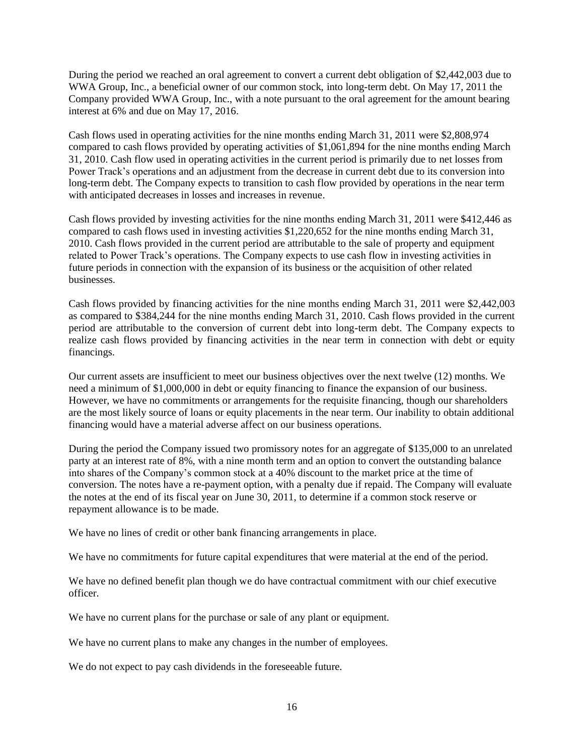During the period we reached an oral agreement to convert a current debt obligation of \$2,442,003 due to WWA Group, Inc., a beneficial owner of our common stock, into long-term debt. On May 17, 2011 the Company provided WWA Group, Inc., with a note pursuant to the oral agreement for the amount bearing interest at 6% and due on May 17, 2016.

Cash flows used in operating activities for the nine months ending March 31, 2011 were \$2,808,974 compared to cash flows provided by operating activities of \$1,061,894 for the nine months ending March 31, 2010. Cash flow used in operating activities in the current period is primarily due to net losses from Power Track's operations and an adjustment from the decrease in current debt due to its conversion into long-term debt. The Company expects to transition to cash flow provided by operations in the near term with anticipated decreases in losses and increases in revenue.

Cash flows provided by investing activities for the nine months ending March 31, 2011 were \$412,446 as compared to cash flows used in investing activities \$1,220,652 for the nine months ending March 31, 2010. Cash flows provided in the current period are attributable to the sale of property and equipment related to Power Track's operations. The Company expects to use cash flow in investing activities in future periods in connection with the expansion of its business or the acquisition of other related businesses.

Cash flows provided by financing activities for the nine months ending March 31, 2011 were \$2,442,003 as compared to \$384,244 for the nine months ending March 31, 2010. Cash flows provided in the current period are attributable to the conversion of current debt into long-term debt. The Company expects to realize cash flows provided by financing activities in the near term in connection with debt or equity financings.

Our current assets are insufficient to meet our business objectives over the next twelve (12) months. We need a minimum of \$1,000,000 in debt or equity financing to finance the expansion of our business. However, we have no commitments or arrangements for the requisite financing, though our shareholders are the most likely source of loans or equity placements in the near term. Our inability to obtain additional financing would have a material adverse affect on our business operations.

During the period the Company issued two promissory notes for an aggregate of \$135,000 to an unrelated party at an interest rate of 8%, with a nine month term and an option to convert the outstanding balance into shares of the Company's common stock at a 40% discount to the market price at the time of conversion. The notes have a re-payment option, with a penalty due if repaid. The Company will evaluate the notes at the end of its fiscal year on June 30, 2011, to determine if a common stock reserve or repayment allowance is to be made.

We have no lines of credit or other bank financing arrangements in place.

We have no commitments for future capital expenditures that were material at the end of the period.

We have no defined benefit plan though we do have contractual commitment with our chief executive officer.

We have no current plans for the purchase or sale of any plant or equipment.

We have no current plans to make any changes in the number of employees.

We do not expect to pay cash dividends in the foreseeable future.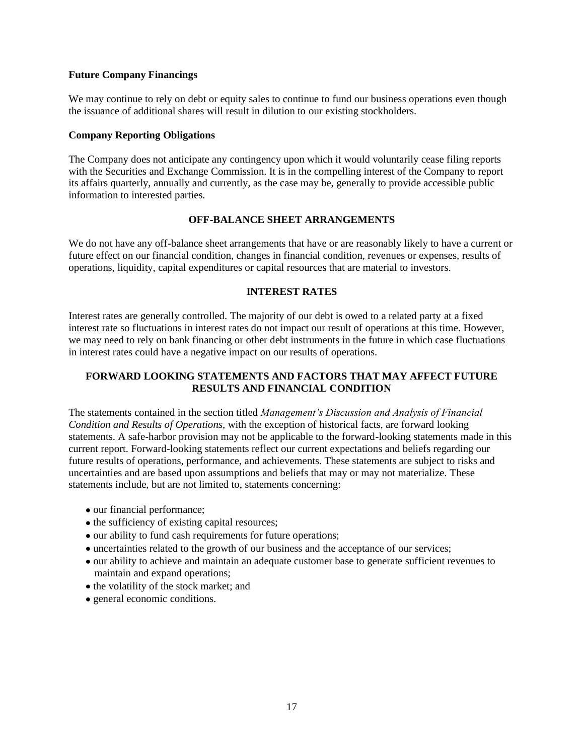#### **Future Company Financings**

We may continue to rely on debt or equity sales to continue to fund our business operations even though the issuance of additional shares will result in dilution to our existing stockholders.

#### **Company Reporting Obligations**

The Company does not anticipate any contingency upon which it would voluntarily cease filing reports with the Securities and Exchange Commission. It is in the compelling interest of the Company to report its affairs quarterly, annually and currently, as the case may be, generally to provide accessible public information to interested parties.

### **OFF-BALANCE SHEET ARRANGEMENTS**

We do not have any off-balance sheet arrangements that have or are reasonably likely to have a current or future effect on our financial condition, changes in financial condition, revenues or expenses, results of operations, liquidity, capital expenditures or capital resources that are material to investors.

#### **INTEREST RATES**

Interest rates are generally controlled. The majority of our debt is owed to a related party at a fixed interest rate so fluctuations in interest rates do not impact our result of operations at this time. However, we may need to rely on bank financing or other debt instruments in the future in which case fluctuations in interest rates could have a negative impact on our results of operations.

## **FORWARD LOOKING STATEMENTS AND FACTORS THAT MAY AFFECT FUTURE RESULTS AND FINANCIAL CONDITION**

The statements contained in the section titled *Management's Discussion and Analysis of Financial Condition and Results of Operations*, with the exception of historical facts, are forward looking statements. A safe-harbor provision may not be applicable to the forward-looking statements made in this current report. Forward-looking statements reflect our current expectations and beliefs regarding our future results of operations, performance, and achievements. These statements are subject to risks and uncertainties and are based upon assumptions and beliefs that may or may not materialize. These statements include, but are not limited to, statements concerning:

- our financial performance;
- the sufficiency of existing capital resources;
- our ability to fund cash requirements for future operations;
- uncertainties related to the growth of our business and the acceptance of our services;
- our ability to achieve and maintain an adequate customer base to generate sufficient revenues to maintain and expand operations;
- the volatility of the stock market; and
- general economic conditions.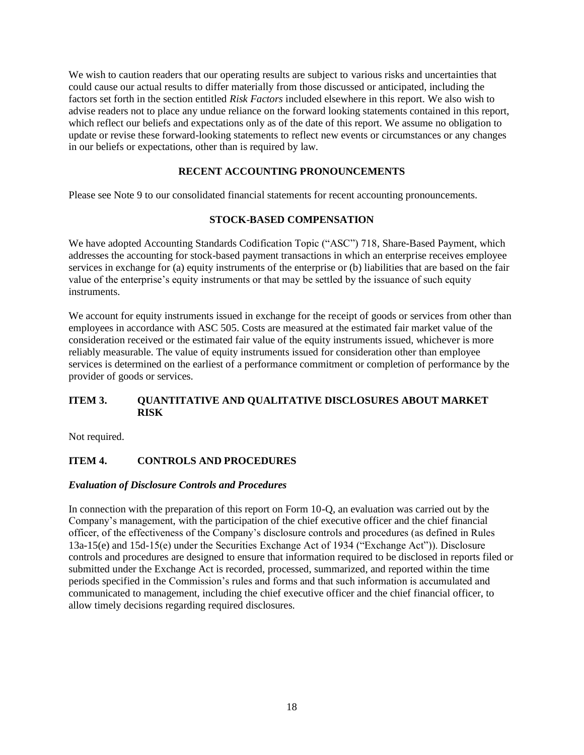We wish to caution readers that our operating results are subject to various risks and uncertainties that could cause our actual results to differ materially from those discussed or anticipated, including the factors set forth in the section entitled *Risk Factors* included elsewhere in this report. We also wish to advise readers not to place any undue reliance on the forward looking statements contained in this report, which reflect our beliefs and expectations only as of the date of this report. We assume no obligation to update or revise these forward-looking statements to reflect new events or circumstances or any changes in our beliefs or expectations, other than is required by law.

## **RECENT ACCOUNTING PRONOUNCEMENTS**

Please see Note 9 to our consolidated financial statements for recent accounting pronouncements.

### **STOCK-BASED COMPENSATION**

We have adopted Accounting Standards Codification Topic ("ASC") 718, Share-Based Payment, which addresses the accounting for stock-based payment transactions in which an enterprise receives employee services in exchange for (a) equity instruments of the enterprise or (b) liabilities that are based on the fair value of the enterprise's equity instruments or that may be settled by the issuance of such equity instruments.

We account for equity instruments issued in exchange for the receipt of goods or services from other than employees in accordance with ASC 505. Costs are measured at the estimated fair market value of the consideration received or the estimated fair value of the equity instruments issued, whichever is more reliably measurable. The value of equity instruments issued for consideration other than employee services is determined on the earliest of a performance commitment or completion of performance by the provider of goods or services.

## **ITEM 3. QUANTITATIVE AND QUALITATIVE DISCLOSURES ABOUT MARKET RISK**

Not required.

## **ITEM 4. CONTROLS AND PROCEDURES**

### *Evaluation of Disclosure Controls and Procedures*

In connection with the preparation of this report on Form 10-Q, an evaluation was carried out by the Company's management, with the participation of the chief executive officer and the chief financial officer, of the effectiveness of the Company's disclosure controls and procedures (as defined in Rules 13a-15(e) and 15d-15(e) under the Securities Exchange Act of 1934 ("Exchange Act")). Disclosure controls and procedures are designed to ensure that information required to be disclosed in reports filed or submitted under the Exchange Act is recorded, processed, summarized, and reported within the time periods specified in the Commission's rules and forms and that such information is accumulated and communicated to management, including the chief executive officer and the chief financial officer, to allow timely decisions regarding required disclosures.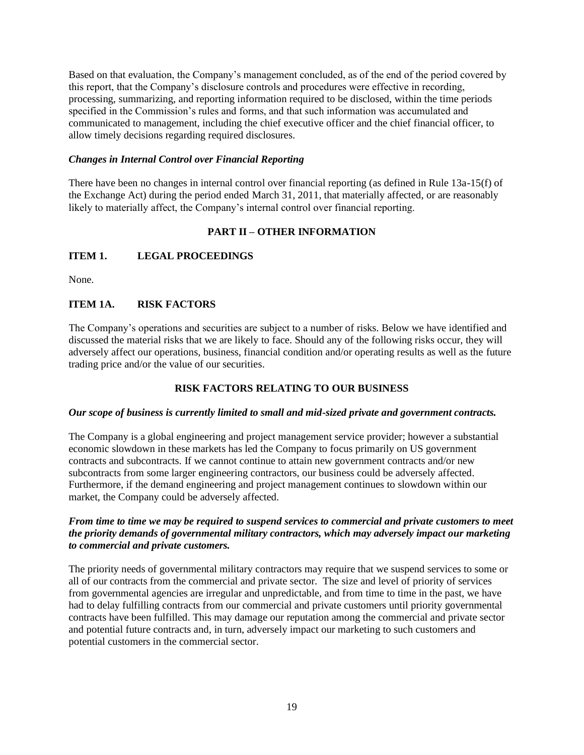Based on that evaluation, the Company's management concluded, as of the end of the period covered by this report, that the Company's disclosure controls and procedures were effective in recording, processing, summarizing, and reporting information required to be disclosed, within the time periods specified in the Commission's rules and forms, and that such information was accumulated and communicated to management, including the chief executive officer and the chief financial officer, to allow timely decisions regarding required disclosures.

## *Changes in Internal Control over Financial Reporting*

There have been no changes in internal control over financial reporting (as defined in Rule 13a-15(f) of the Exchange Act) during the period ended March 31, 2011, that materially affected, or are reasonably likely to materially affect, the Company's internal control over financial reporting.

## **PART II – OTHER INFORMATION**

## **ITEM 1. LEGAL PROCEEDINGS**

None.

## **ITEM 1A. RISK FACTORS**

The Company's operations and securities are subject to a number of risks. Below we have identified and discussed the material risks that we are likely to face. Should any of the following risks occur, they will adversely affect our operations, business, financial condition and/or operating results as well as the future trading price and/or the value of our securities.

## **RISK FACTORS RELATING TO OUR BUSINESS**

### *Our scope of business is currently limited to small and mid-sized private and government contracts.*

The Company is a global engineering and project management service provider; however a substantial economic slowdown in these markets has led the Company to focus primarily on US government contracts and subcontracts. If we cannot continue to attain new government contracts and/or new subcontracts from some larger engineering contractors, our business could be adversely affected. Furthermore, if the demand engineering and project management continues to slowdown within our market, the Company could be adversely affected.

## *From time to time we may be required to suspend services to commercial and private customers to meet the priority demands of governmental military contractors, which may adversely impact our marketing to commercial and private customers.*

The priority needs of governmental military contractors may require that we suspend services to some or all of our contracts from the commercial and private sector. The size and level of priority of services from governmental agencies are irregular and unpredictable, and from time to time in the past, we have had to delay fulfilling contracts from our commercial and private customers until priority governmental contracts have been fulfilled. This may damage our reputation among the commercial and private sector and potential future contracts and, in turn, adversely impact our marketing to such customers and potential customers in the commercial sector.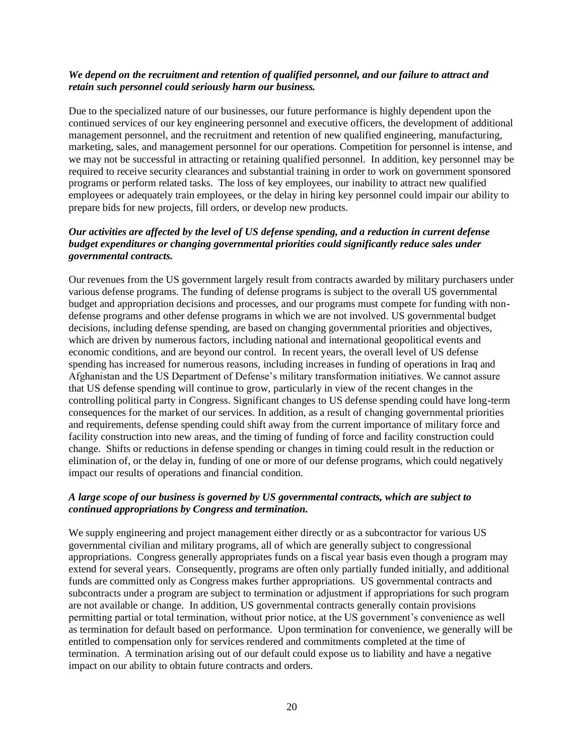### *We depend on the recruitment and retention of qualified personnel, and our failure to attract and retain such personnel could seriously harm our business.*

Due to the specialized nature of our businesses, our future performance is highly dependent upon the continued services of our key engineering personnel and executive officers, the development of additional management personnel, and the recruitment and retention of new qualified engineering, manufacturing, marketing, sales, and management personnel for our operations. Competition for personnel is intense, and we may not be successful in attracting or retaining qualified personnel. In addition, key personnel may be required to receive security clearances and substantial training in order to work on government sponsored programs or perform related tasks. The loss of key employees, our inability to attract new qualified employees or adequately train employees, or the delay in hiring key personnel could impair our ability to prepare bids for new projects, fill orders, or develop new products.

## *Our activities are affected by the level of US defense spending, and a reduction in current defense budget expenditures or changing governmental priorities could significantly reduce sales under governmental contracts.*

Our revenues from the US government largely result from contracts awarded by military purchasers under various defense programs. The funding of defense programs is subject to the overall US governmental budget and appropriation decisions and processes, and our programs must compete for funding with nondefense programs and other defense programs in which we are not involved. US governmental budget decisions, including defense spending, are based on changing governmental priorities and objectives, which are driven by numerous factors, including national and international geopolitical events and economic conditions, and are beyond our control. In recent years, the overall level of US defense spending has increased for numerous reasons, including increases in funding of operations in Iraq and Afghanistan and the US Department of Defense's military transformation initiatives. We cannot assure that US defense spending will continue to grow, particularly in view of the recent changes in the controlling political party in Congress. Significant changes to US defense spending could have long-term consequences for the market of our services. In addition, as a result of changing governmental priorities and requirements, defense spending could shift away from the current importance of military force and facility construction into new areas, and the timing of funding of force and facility construction could change. Shifts or reductions in defense spending or changes in timing could result in the reduction or elimination of, or the delay in, funding of one or more of our defense programs, which could negatively impact our results of operations and financial condition.

### *A large scope of our business is governed by US governmental contracts, which are subject to continued appropriations by Congress and termination.*

We supply engineering and project management either directly or as a subcontractor for various US governmental civilian and military programs, all of which are generally subject to congressional appropriations. Congress generally appropriates funds on a fiscal year basis even though a program may extend for several years. Consequently, programs are often only partially funded initially, and additional funds are committed only as Congress makes further appropriations. US governmental contracts and subcontracts under a program are subject to termination or adjustment if appropriations for such program are not available or change. In addition, US governmental contracts generally contain provisions permitting partial or total termination, without prior notice, at the US government's convenience as well as termination for default based on performance. Upon termination for convenience, we generally will be entitled to compensation only for services rendered and commitments completed at the time of termination. A termination arising out of our default could expose us to liability and have a negative impact on our ability to obtain future contracts and orders.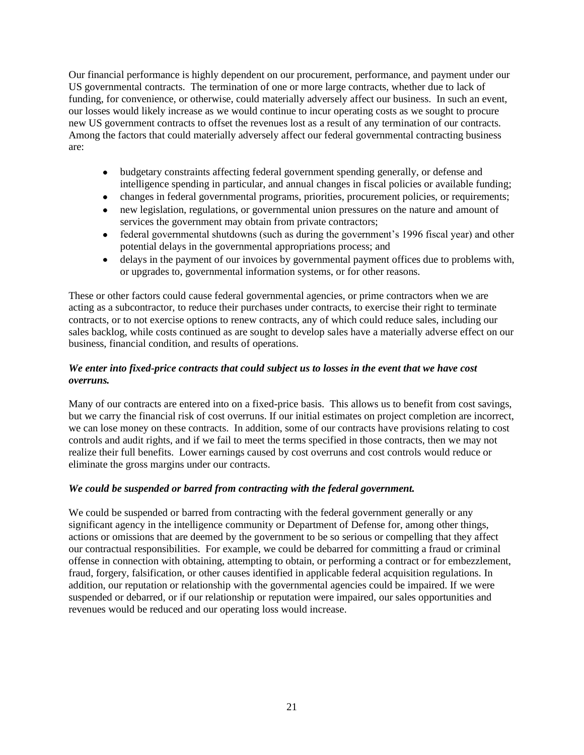Our financial performance is highly dependent on our procurement, performance, and payment under our US governmental contracts. The termination of one or more large contracts, whether due to lack of funding, for convenience, or otherwise, could materially adversely affect our business. In such an event, our losses would likely increase as we would continue to incur operating costs as we sought to procure new US government contracts to offset the revenues lost as a result of any termination of our contracts. Among the factors that could materially adversely affect our federal governmental contracting business are:

- budgetary constraints affecting federal government spending generally, or defense and intelligence spending in particular, and annual changes in fiscal policies or available funding;
- changes in federal governmental programs, priorities, procurement policies, or requirements;
- new legislation, regulations, or governmental union pressures on the nature and amount of services the government may obtain from private contractors;
- federal governmental shutdowns (such as during the government's 1996 fiscal year) and other potential delays in the governmental appropriations process; and
- delays in the payment of our invoices by governmental payment offices due to problems with, or upgrades to, governmental information systems, or for other reasons.

These or other factors could cause federal governmental agencies, or prime contractors when we are acting as a subcontractor, to reduce their purchases under contracts, to exercise their right to terminate contracts, or to not exercise options to renew contracts, any of which could reduce sales, including our sales backlog, while costs continued as are sought to develop sales have a materially adverse effect on our business, financial condition, and results of operations.

## *We enter into fixed-price contracts that could subject us to losses in the event that we have cost overruns.*

Many of our contracts are entered into on a fixed-price basis. This allows us to benefit from cost savings, but we carry the financial risk of cost overruns. If our initial estimates on project completion are incorrect, we can lose money on these contracts. In addition, some of our contracts have provisions relating to cost controls and audit rights, and if we fail to meet the terms specified in those contracts, then we may not realize their full benefits. Lower earnings caused by cost overruns and cost controls would reduce or eliminate the gross margins under our contracts.

## *We could be suspended or barred from contracting with the federal government.*

We could be suspended or barred from contracting with the federal government generally or any significant agency in the intelligence community or Department of Defense for, among other things, actions or omissions that are deemed by the government to be so serious or compelling that they affect our contractual responsibilities. For example, we could be debarred for committing a fraud or criminal offense in connection with obtaining, attempting to obtain, or performing a contract or for embezzlement, fraud, forgery, falsification, or other causes identified in applicable federal acquisition regulations. In addition, our reputation or relationship with the governmental agencies could be impaired. If we were suspended or debarred, or if our relationship or reputation were impaired, our sales opportunities and revenues would be reduced and our operating loss would increase.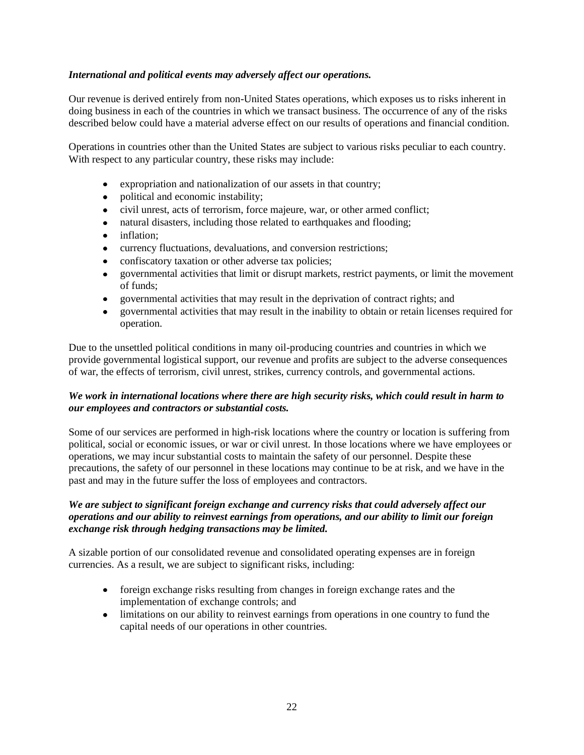## *International and political events may adversely affect our operations.*

Our revenue is derived entirely from non-United States operations, which exposes us to risks inherent in doing business in each of the countries in which we transact business. The occurrence of any of the risks described below could have a material adverse effect on our results of operations and financial condition.

Operations in countries other than the United States are subject to various risks peculiar to each country. With respect to any particular country, these risks may include:

- expropriation and nationalization of our assets in that country;  $\bullet$
- $\bullet$ political and economic instability;
- civil unrest, acts of terrorism, force majeure, war, or other armed conflict;
- natural disasters, including those related to earthquakes and flooding;
- inflation;
- currency fluctuations, devaluations, and conversion restrictions;  $\bullet$
- confiscatory taxation or other adverse tax policies;
- governmental activities that limit or disrupt markets, restrict payments, or limit the movement of funds;
- governmental activities that may result in the deprivation of contract rights; and  $\bullet$
- governmental activities that may result in the inability to obtain or retain licenses required for operation.

Due to the unsettled political conditions in many oil-producing countries and countries in which we provide governmental logistical support, our revenue and profits are subject to the adverse consequences of war, the effects of terrorism, civil unrest, strikes, currency controls, and governmental actions.

## *We work in international locations where there are high security risks, which could result in harm to our employees and contractors or substantial costs.*

Some of our services are performed in high-risk locations where the country or location is suffering from political, social or economic issues, or war or civil unrest. In those locations where we have employees or operations, we may incur substantial costs to maintain the safety of our personnel. Despite these precautions, the safety of our personnel in these locations may continue to be at risk, and we have in the past and may in the future suffer the loss of employees and contractors.

## *We are subject to significant foreign exchange and currency risks that could adversely affect our operations and our ability to reinvest earnings from operations, and our ability to limit our foreign exchange risk through hedging transactions may be limited.*

A sizable portion of our consolidated revenue and consolidated operating expenses are in foreign currencies. As a result, we are subject to significant risks, including:

- foreign exchange risks resulting from changes in foreign exchange rates and the implementation of exchange controls; and
- limitations on our ability to reinvest earnings from operations in one country to fund the capital needs of our operations in other countries.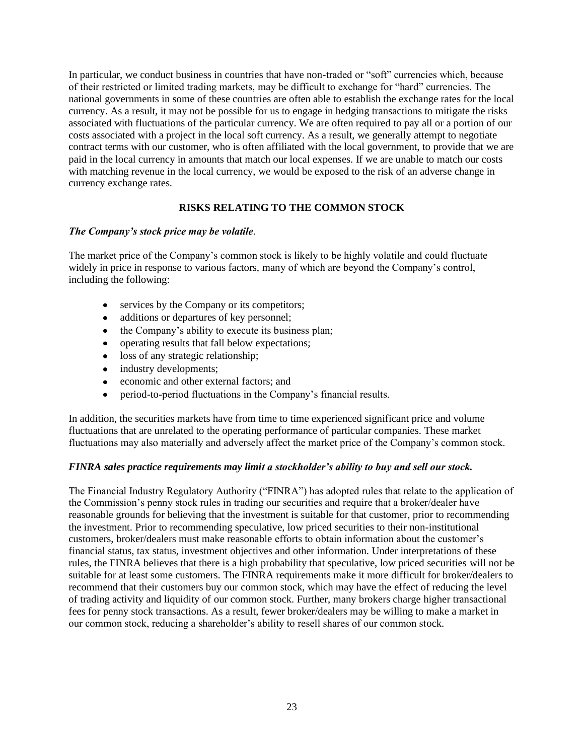In particular, we conduct business in countries that have non-traded or "soft" currencies which, because of their restricted or limited trading markets, may be difficult to exchange for "hard" currencies. The national governments in some of these countries are often able to establish the exchange rates for the local currency. As a result, it may not be possible for us to engage in hedging transactions to mitigate the risks associated with fluctuations of the particular currency. We are often required to pay all or a portion of our costs associated with a project in the local soft currency. As a result, we generally attempt to negotiate contract terms with our customer, who is often affiliated with the local government, to provide that we are paid in the local currency in amounts that match our local expenses. If we are unable to match our costs with matching revenue in the local currency, we would be exposed to the risk of an adverse change in currency exchange rates.

## **RISKS RELATING TO THE COMMON STOCK**

### *The Company's stock price may be volatile.*

The market price of the Company's common stock is likely to be highly volatile and could fluctuate widely in price in response to various factors, many of which are beyond the Company's control, including the following:

- services by the Company or its competitors;  $\bullet$
- additions or departures of key personnel;  $\bullet$
- the Company's ability to execute its business plan;
- operating results that fall below expectations;
- loss of any strategic relationship;
- industry developments;
- economic and other external factors; and
- period-to-period fluctuations in the Company's financial results.

In addition, the securities markets have from time to time experienced significant price and volume fluctuations that are unrelated to the operating performance of particular companies. These market fluctuations may also materially and adversely affect the market price of the Company's common stock.

### *FINRA sales practice requirements may limit a stockholder's ability to buy and sell our stock.*

The Financial Industry Regulatory Authority ("FINRA") has adopted rules that relate to the application of the Commission's penny stock rules in trading our securities and require that a broker/dealer have reasonable grounds for believing that the investment is suitable for that customer, prior to recommending the investment. Prior to recommending speculative, low priced securities to their non-institutional customers, broker/dealers must make reasonable efforts to obtain information about the customer's financial status, tax status, investment objectives and other information. Under interpretations of these rules, the FINRA believes that there is a high probability that speculative, low priced securities will not be suitable for at least some customers. The FINRA requirements make it more difficult for broker/dealers to recommend that their customers buy our common stock, which may have the effect of reducing the level of trading activity and liquidity of our common stock. Further, many brokers charge higher transactional fees for penny stock transactions. As a result, fewer broker/dealers may be willing to make a market in our common stock, reducing a shareholder's ability to resell shares of our common stock.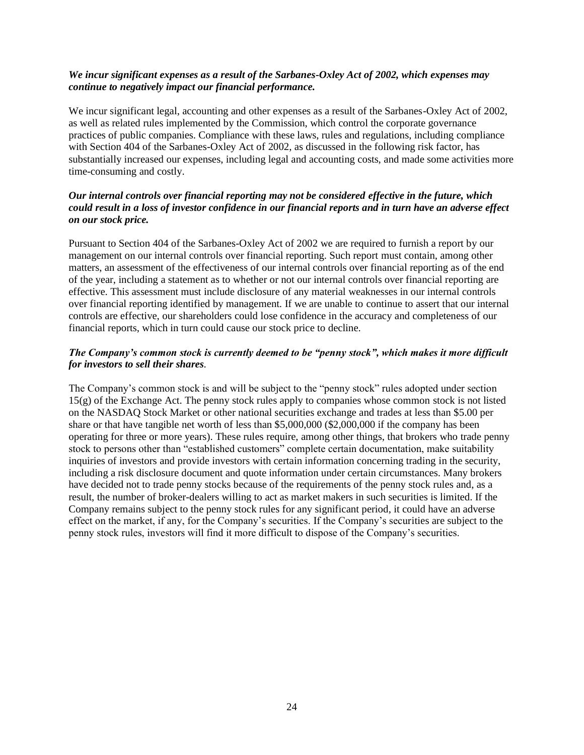### *We incur significant expenses as a result of the Sarbanes-Oxley Act of 2002, which expenses may continue to negatively impact our financial performance.*

We incur significant legal, accounting and other expenses as a result of the Sarbanes-Oxley Act of 2002, as well as related rules implemented by the Commission, which control the corporate governance practices of public companies. Compliance with these laws, rules and regulations, including compliance with Section 404 of the Sarbanes-Oxley Act of 2002, as discussed in the following risk factor, has substantially increased our expenses, including legal and accounting costs, and made some activities more time-consuming and costly.

## *Our internal controls over financial reporting may not be considered effective in the future, which could result in a loss of investor confidence in our financial reports and in turn have an adverse effect on our stock price.*

Pursuant to Section 404 of the Sarbanes-Oxley Act of 2002 we are required to furnish a report by our management on our internal controls over financial reporting. Such report must contain, among other matters, an assessment of the effectiveness of our internal controls over financial reporting as of the end of the year, including a statement as to whether or not our internal controls over financial reporting are effective. This assessment must include disclosure of any material weaknesses in our internal controls over financial reporting identified by management. If we are unable to continue to assert that our internal controls are effective, our shareholders could lose confidence in the accuracy and completeness of our financial reports, which in turn could cause our stock price to decline.

### *The Company's common stock is currently deemed to be "penny stock", which makes it more difficult for investors to sell their shares.*

The Company's common stock is and will be subject to the "penny stock" rules adopted under section 15(g) of the Exchange Act. The penny stock rules apply to companies whose common stock is not listed on the NASDAQ Stock Market or other national securities exchange and trades at less than \$5.00 per share or that have tangible net worth of less than \$5,000,000 (\$2,000,000 if the company has been operating for three or more years). These rules require, among other things, that brokers who trade penny stock to persons other than "established customers" complete certain documentation, make suitability inquiries of investors and provide investors with certain information concerning trading in the security, including a risk disclosure document and quote information under certain circumstances. Many brokers have decided not to trade penny stocks because of the requirements of the penny stock rules and, as a result, the number of broker-dealers willing to act as market makers in such securities is limited. If the Company remains subject to the penny stock rules for any significant period, it could have an adverse effect on the market, if any, for the Company's securities. If the Company's securities are subject to the penny stock rules, investors will find it more difficult to dispose of the Company's securities.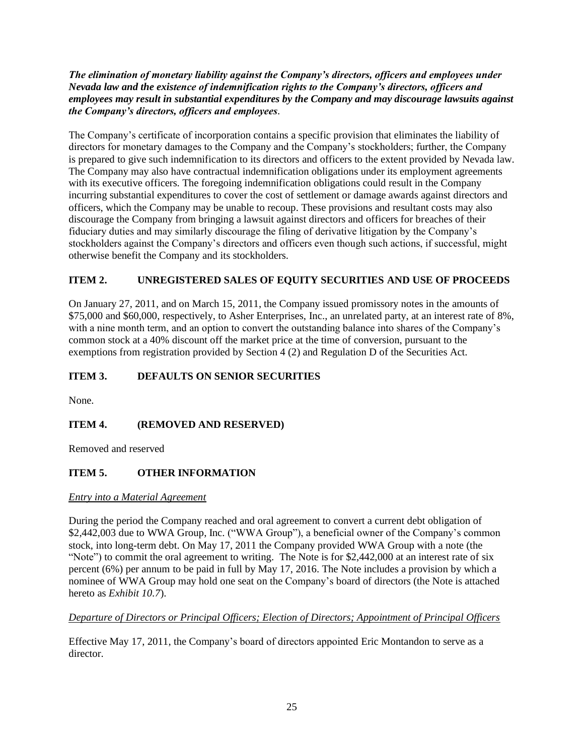## *The elimination of monetary liability against the Company's directors, officers and employees under Nevada law and the existence of indemnification rights to the Company's directors, officers and employees may result in substantial expenditures by the Company and may discourage lawsuits against the Company's directors, officers and employees.*

The Company's certificate of incorporation contains a specific provision that eliminates the liability of directors for monetary damages to the Company and the Company's stockholders; further, the Company is prepared to give such indemnification to its directors and officers to the extent provided by Nevada law. The Company may also have contractual indemnification obligations under its employment agreements with its executive officers. The foregoing indemnification obligations could result in the Company incurring substantial expenditures to cover the cost of settlement or damage awards against directors and officers, which the Company may be unable to recoup. These provisions and resultant costs may also discourage the Company from bringing a lawsuit against directors and officers for breaches of their fiduciary duties and may similarly discourage the filing of derivative litigation by the Company's stockholders against the Company's directors and officers even though such actions, if successful, might otherwise benefit the Company and its stockholders.

## **ITEM 2. UNREGISTERED SALES OF EQUITY SECURITIES AND USE OF PROCEEDS**

On January 27, 2011, and on March 15, 2011, the Company issued promissory notes in the amounts of \$75,000 and \$60,000, respectively, to Asher Enterprises, Inc., an unrelated party, at an interest rate of 8%, with a nine month term, and an option to convert the outstanding balance into shares of the Company's common stock at a 40% discount off the market price at the time of conversion, pursuant to the exemptions from registration provided by Section 4 (2) and Regulation D of the Securities Act.

## **ITEM 3. DEFAULTS ON SENIOR SECURITIES**

None.

## **ITEM 4. (REMOVED AND RESERVED)**

Removed and reserved

## **ITEM 5. OTHER INFORMATION**

### *Entry into a Material Agreement*

During the period the Company reached and oral agreement to convert a current debt obligation of \$2,442,003 due to WWA Group, Inc. ("WWA Group"), a beneficial owner of the Company's common stock, into long-term debt. On May 17, 2011 the Company provided WWA Group with a note (the "Note") to commit the oral agreement to writing. The Note is for \$2,442,000 at an interest rate of six percent (6%) per annum to be paid in full by May 17, 2016. The Note includes a provision by which a nominee of WWA Group may hold one seat on the Company's board of directors (the Note is attached hereto as *Exhibit 10.7*).

### *Departure of Directors or Principal Officers; Election of Directors; Appointment of Principal Officers*

Effective May 17, 2011, the Company's board of directors appointed Eric Montandon to serve as a director.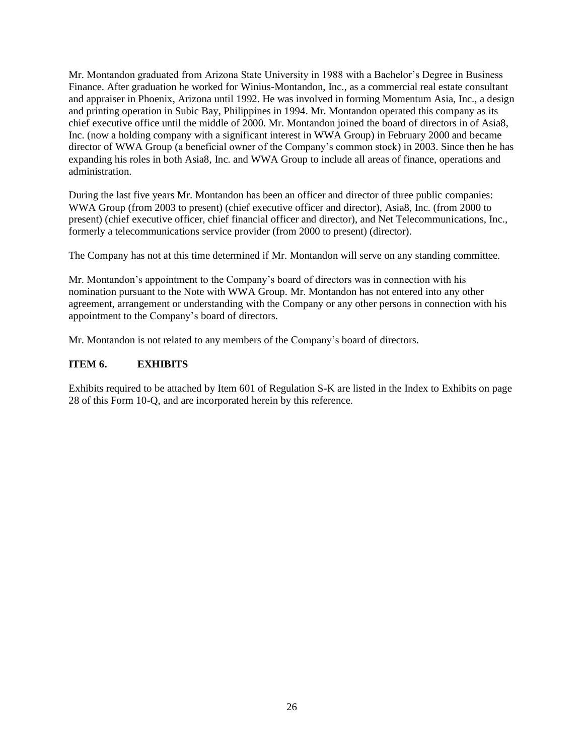Mr. Montandon graduated from Arizona State University in 1988 with a Bachelor's Degree in Business Finance. After graduation he worked for Winius-Montandon, Inc., as a commercial real estate consultant and appraiser in Phoenix, Arizona until 1992. He was involved in forming Momentum Asia, Inc., a design and printing operation in Subic Bay, Philippines in 1994. Mr. Montandon operated this company as its chief executive office until the middle of 2000. Mr. Montandon joined the board of directors in of Asia8, Inc. (now a holding company with a significant interest in WWA Group) in February 2000 and became director of WWA Group (a beneficial owner of the Company's common stock) in 2003. Since then he has expanding his roles in both Asia8, Inc. and WWA Group to include all areas of finance, operations and administration.

During the last five years Mr. Montandon has been an officer and director of three public companies: WWA Group (from 2003 to present) (chief executive officer and director), Asia8, Inc. (from 2000 to present) (chief executive officer, chief financial officer and director), and Net Telecommunications, Inc., formerly a telecommunications service provider (from 2000 to present) (director).

The Company has not at this time determined if Mr. Montandon will serve on any standing committee.

Mr. Montandon's appointment to the Company's board of directors was in connection with his nomination pursuant to the Note with WWA Group. Mr. Montandon has not entered into any other agreement, arrangement or understanding with the Company or any other persons in connection with his appointment to the Company's board of directors.

Mr. Montandon is not related to any members of the Company's board of directors.

## **ITEM 6. EXHIBITS**

Exhibits required to be attached by Item 601 of Regulation S-K are listed in the Index to Exhibits on page 28 of this Form 10-Q, and are incorporated herein by this reference.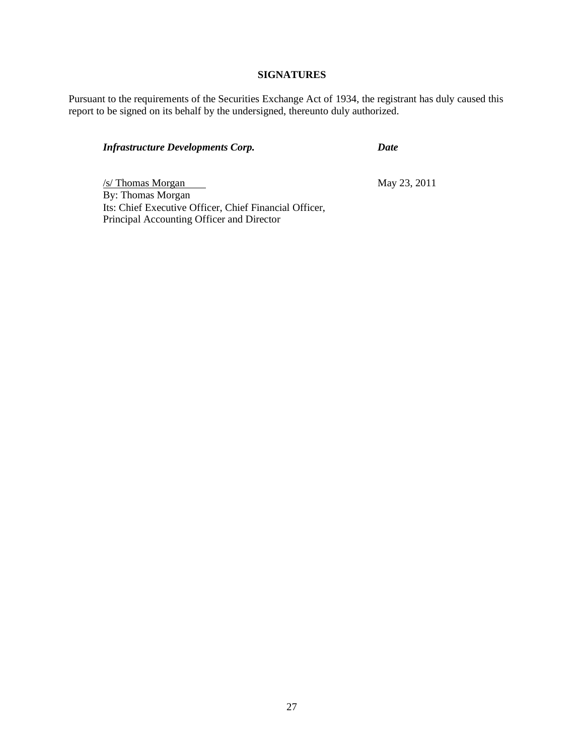## **SIGNATURES**

Pursuant to the requirements of the Securities Exchange Act of 1934, the registrant has duly caused this report to be signed on its behalf by the undersigned, thereunto duly authorized.

## *Infrastructure Developments Corp. Date*

 $\frac{1}{\sqrt{2}}$  May 23, 2011 By: Thomas Morgan Its: Chief Executive Officer, Chief Financial Officer, Principal Accounting Officer and Director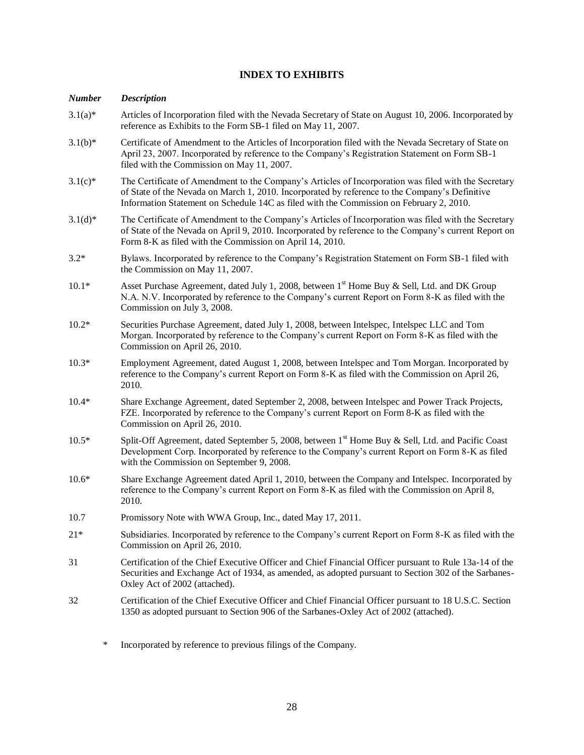## **INDEX TO EXHIBITS**

#### *Number Description*

- 3.1(a)\* Articles of Incorporation filed with the Nevada Secretary of State on August 10, 2006. Incorporated by reference as Exhibits to the Form SB-1 filed on May 11, 2007. 3.1(b)\* Certificate of Amendment to the Articles of Incorporation filed with the Nevada Secretary of State on April 23, 2007. Incorporated by reference to the Company's Registration Statement on Form SB-1 filed with the Commission on May 11, 2007. 3.1(c)\* The Certificate of Amendment to the Company's Articles of Incorporation was filed with the Secretary of State of the Nevada on March 1, 2010. Incorporated by reference to the Company's Definitive Information Statement on Schedule 14C as filed with the Commission on February 2, 2010. 3.1(d)\* The Certificate of Amendment to the Company's Articles of Incorporation was filed with the Secretary of State of the Nevada on April 9, 2010. Incorporated by reference to the Company's current Report on Form 8-K as filed with the Commission on April 14, 2010. 3.2\* Bylaws. Incorporated by reference to the Company's Registration Statement on Form SB-1 filed with the Commission on May 11, 2007. 10.1\* Asset Purchase Agreement, dated July 1, 2008, between  $1<sup>st</sup>$  Home Buy & Sell, Ltd. and DK Group N.A. N.V. Incorporated by reference to the Company's current Report on Form 8-K as filed with the Commission on July 3, 2008. 10.2\* Securities Purchase Agreement, dated July 1, 2008, between Intelspec, Intelspec LLC and Tom Morgan. Incorporated by reference to the Company's current Report on Form 8-K as filed with the Commission on April 26, 2010. 10.3\* Employment Agreement, dated August 1, 2008, between Intelspec and Tom Morgan. Incorporated by reference to the Company's current Report on Form 8-K as filed with the Commission on April 26, 2010. 10.4\* Share Exchange Agreement, dated September 2, 2008, between Intelspec and Power Track Projects, FZE. Incorporated by reference to the Company's current Report on Form 8-K as filed with the Commission on April 26, 2010. 10.5<sup>\*</sup> Split-Off Agreement, dated September 5, 2008, between 1<sup>st</sup> Home Buy & Sell, Ltd. and Pacific Coast Development Corp. Incorporated by reference to the Company's current Report on Form 8-K as filed with the Commission on September 9, 2008. 10.6\* Share Exchange Agreement dated April 1, 2010, between the Company and Intelspec. Incorporated by reference to the Company's current Report on Form 8-K as filed with the Commission on April 8, 2010. 10.7 Promissory Note with WWA Group, Inc., dated May 17, 2011. 21\* Subsidiaries. Incorporated by reference to the Company's current Report on Form 8-K as filed with the Commission on April 26, 2010. 31 Certification of the Chief Executive Officer and Chief Financial Officer pursuant to Rule 13a-14 of the Securities and Exchange Act of 1934, as amended, as adopted pursuant to Section 302 of the Sarbanes-Oxley Act of 2002 (attached). 32 Certification of the Chief Executive Officer and Chief Financial Officer pursuant to 18 U.S.C. Section 1350 as adopted pursuant to Section 906 of the Sarbanes-Oxley Act of 2002 (attached).
	- \* Incorporated by reference to previous filings of the Company.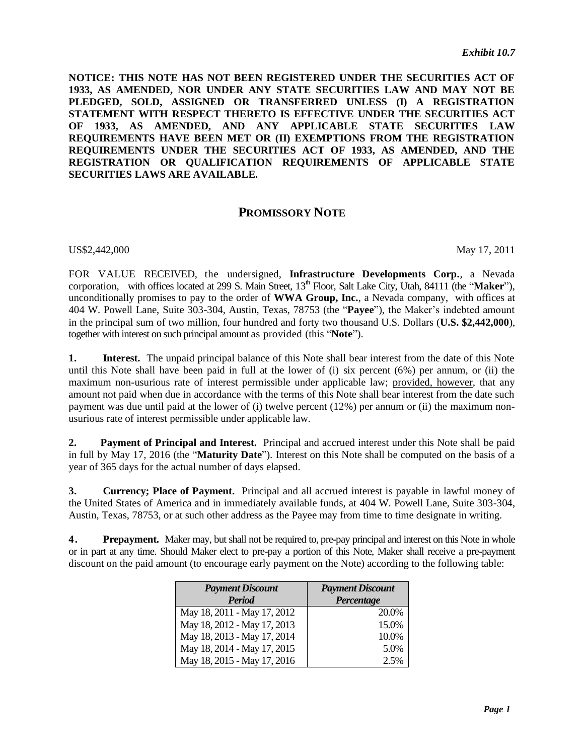**NOTICE: THIS NOTE HAS NOT BEEN REGISTERED UNDER THE SECURITIES ACT OF 1933, AS AMENDED, NOR UNDER ANY STATE SECURITIES LAW AND MAY NOT BE PLEDGED, SOLD, ASSIGNED OR TRANSFERRED UNLESS (I) A REGISTRATION STATEMENT WITH RESPECT THERETO IS EFFECTIVE UNDER THE SECURITIES ACT OF 1933, AS AMENDED, AND ANY APPLICABLE STATE SECURITIES LAW REQUIREMENTS HAVE BEEN MET OR (II) EXEMPTIONS FROM THE REGISTRATION REQUIREMENTS UNDER THE SECURITIES ACT OF 1933, AS AMENDED, AND THE REGISTRATION OR QUALIFICATION REQUIREMENTS OF APPLICABLE STATE SECURITIES LAWS ARE AVAILABLE.**

## **PROMISSORY NOTE**

US\$2,442,000 May 17, 2011

FOR VALUE RECEIVED, the undersigned, **Infrastructure Developments Corp.**, a Nevada corporation, with offices located at 299 S. Main Street, 13<sup>th</sup> Floor, Salt Lake City, Utah, 84111 (the "**Maker**"), unconditionally promises to pay to the order of **WWA Group, Inc.**, a Nevada company, with offices at 404 W. Powell Lane, Suite 303-304, Austin, Texas, 78753 (the "**Payee**"), the Maker's indebted amount in the principal sum of two million, four hundred and forty two thousand U.S. Dollars (**U.S. \$2,442,000**), together with interest on such principal amount as provided (this "**Note**").

**1. Interest.** The unpaid principal balance of this Note shall bear interest from the date of this Note until this Note shall have been paid in full at the lower of (i) six percent (6%) per annum, or (ii) the maximum non-usurious rate of interest permissible under applicable law; provided, however, that any amount not paid when due in accordance with the terms of this Note shall bear interest from the date such payment was due until paid at the lower of (i) twelve percent (12%) per annum or (ii) the maximum nonusurious rate of interest permissible under applicable law.

**2. Payment of Principal and Interest.** Principal and accrued interest under this Note shall be paid in full by May 17, 2016 (the "**Maturity Date**"). Interest on this Note shall be computed on the basis of a year of 365 days for the actual number of days elapsed.

**3. Currency; Place of Payment.** Principal and all accrued interest is payable in lawful money of the United States of America and in immediately available funds, at 404 W. Powell Lane, Suite 303-304, Austin, Texas, 78753, or at such other address as the Payee may from time to time designate in writing.

**4. Prepayment.** Maker may, but shall not be required to, pre-pay principal and interest on this Note in whole or in part at any time. Should Maker elect to pre-pay a portion of this Note, Maker shall receive a pre-payment discount on the paid amount (to encourage early payment on the Note) according to the following table:

| <b>Payment Discount</b>     | <b>Payment Discount</b> |
|-----------------------------|-------------------------|
| <b>Period</b>               | Percentage              |
| May 18, 2011 - May 17, 2012 | 20.0%                   |
| May 18, 2012 - May 17, 2013 | 15.0%                   |
| May 18, 2013 - May 17, 2014 | 10.0%                   |
| May 18, 2014 - May 17, 2015 | 5.0%                    |
| May 18, 2015 - May 17, 2016 | 2.5%                    |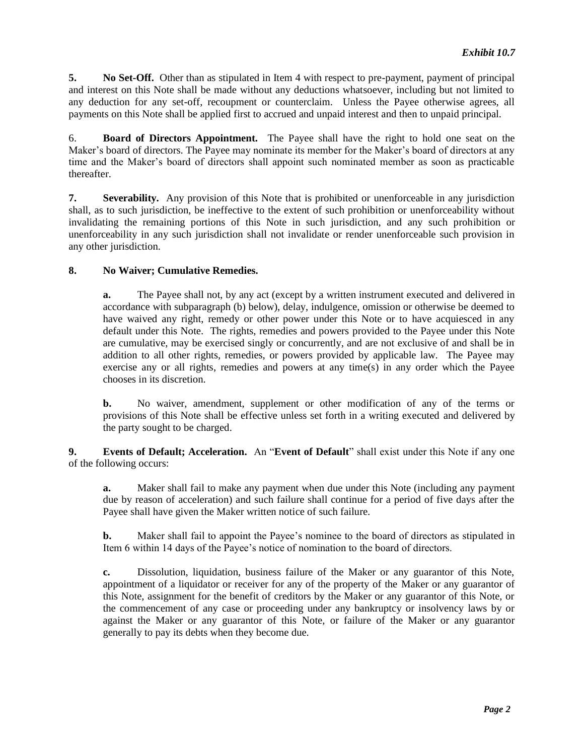**5. No Set-Off.** Other than as stipulated in Item 4 with respect to pre-payment, payment of principal and interest on this Note shall be made without any deductions whatsoever, including but not limited to any deduction for any set-off, recoupment or counterclaim. Unless the Payee otherwise agrees, all payments on this Note shall be applied first to accrued and unpaid interest and then to unpaid principal.

6. **Board of Directors Appointment.** The Payee shall have the right to hold one seat on the Maker's board of directors. The Payee may nominate its member for the Maker's board of directors at any time and the Maker's board of directors shall appoint such nominated member as soon as practicable thereafter.

**7. Severability.** Any provision of this Note that is prohibited or unenforceable in any jurisdiction shall, as to such jurisdiction, be ineffective to the extent of such prohibition or unenforceability without invalidating the remaining portions of this Note in such jurisdiction, and any such prohibition or unenforceability in any such jurisdiction shall not invalidate or render unenforceable such provision in any other jurisdiction.

### **8. No Waiver; Cumulative Remedies.**

**a.** The Payee shall not, by any act (except by a written instrument executed and delivered in accordance with subparagraph (b) below), delay, indulgence, omission or otherwise be deemed to have waived any right, remedy or other power under this Note or to have acquiesced in any default under this Note. The rights, remedies and powers provided to the Payee under this Note are cumulative, may be exercised singly or concurrently, and are not exclusive of and shall be in addition to all other rights, remedies, or powers provided by applicable law. The Payee may exercise any or all rights, remedies and powers at any time(s) in any order which the Payee chooses in its discretion.

**b.** No waiver, amendment, supplement or other modification of any of the terms or provisions of this Note shall be effective unless set forth in a writing executed and delivered by the party sought to be charged.

**9. Events of Default; Acceleration.** An "**Event of Default**" shall exist under this Note if any one of the following occurs:

**a.** Maker shall fail to make any payment when due under this Note (including any payment due by reason of acceleration) and such failure shall continue for a period of five days after the Payee shall have given the Maker written notice of such failure.

**b.** Maker shall fail to appoint the Payee's nominee to the board of directors as stipulated in Item 6 within 14 days of the Payee's notice of nomination to the board of directors.

**c.** Dissolution, liquidation, business failure of the Maker or any guarantor of this Note, appointment of a liquidator or receiver for any of the property of the Maker or any guarantor of this Note, assignment for the benefit of creditors by the Maker or any guarantor of this Note, or the commencement of any case or proceeding under any bankruptcy or insolvency laws by or against the Maker or any guarantor of this Note, or failure of the Maker or any guarantor generally to pay its debts when they become due.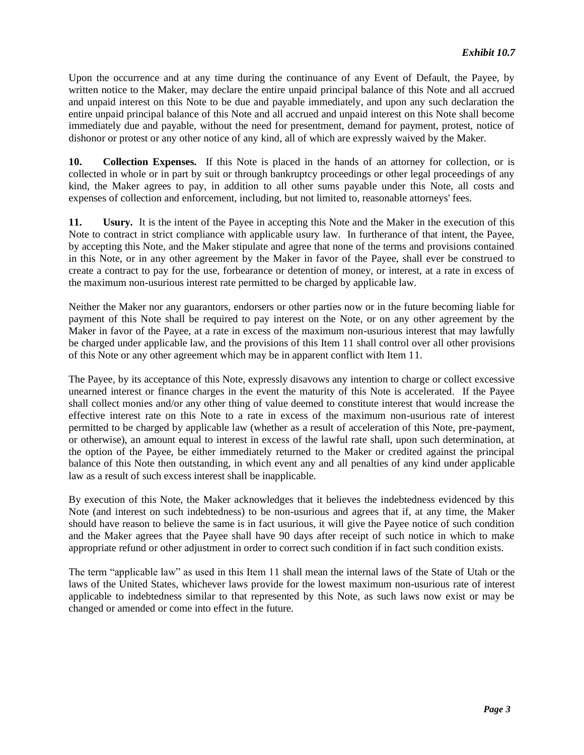Upon the occurrence and at any time during the continuance of any Event of Default, the Payee, by written notice to the Maker, may declare the entire unpaid principal balance of this Note and all accrued and unpaid interest on this Note to be due and payable immediately, and upon any such declaration the entire unpaid principal balance of this Note and all accrued and unpaid interest on this Note shall become immediately due and payable, without the need for presentment, demand for payment, protest, notice of dishonor or protest or any other notice of any kind, all of which are expressly waived by the Maker.

**10. Collection Expenses.** If this Note is placed in the hands of an attorney for collection, or is collected in whole or in part by suit or through bankruptcy proceedings or other legal proceedings of any kind, the Maker agrees to pay, in addition to all other sums payable under this Note, all costs and expenses of collection and enforcement, including, but not limited to, reasonable attorneys' fees.

**11. Usury.** It is the intent of the Payee in accepting this Note and the Maker in the execution of this Note to contract in strict compliance with applicable usury law. In furtherance of that intent, the Payee, by accepting this Note, and the Maker stipulate and agree that none of the terms and provisions contained in this Note, or in any other agreement by the Maker in favor of the Payee, shall ever be construed to create a contract to pay for the use, forbearance or detention of money, or interest, at a rate in excess of the maximum non-usurious interest rate permitted to be charged by applicable law.

Neither the Maker nor any guarantors, endorsers or other parties now or in the future becoming liable for payment of this Note shall be required to pay interest on the Note, or on any other agreement by the Maker in favor of the Payee, at a rate in excess of the maximum non-usurious interest that may lawfully be charged under applicable law, and the provisions of this Item 11 shall control over all other provisions of this Note or any other agreement which may be in apparent conflict with Item 11.

The Payee, by its acceptance of this Note, expressly disavows any intention to charge or collect excessive unearned interest or finance charges in the event the maturity of this Note is accelerated. If the Payee shall collect monies and/or any other thing of value deemed to constitute interest that would increase the effective interest rate on this Note to a rate in excess of the maximum non-usurious rate of interest permitted to be charged by applicable law (whether as a result of acceleration of this Note, pre-payment, or otherwise), an amount equal to interest in excess of the lawful rate shall, upon such determination, at the option of the Payee, be either immediately returned to the Maker or credited against the principal balance of this Note then outstanding, in which event any and all penalties of any kind under applicable law as a result of such excess interest shall be inapplicable.

By execution of this Note, the Maker acknowledges that it believes the indebtedness evidenced by this Note (and interest on such indebtedness) to be non-usurious and agrees that if, at any time, the Maker should have reason to believe the same is in fact usurious, it will give the Payee notice of such condition and the Maker agrees that the Payee shall have 90 days after receipt of such notice in which to make appropriate refund or other adjustment in order to correct such condition if in fact such condition exists.

The term "applicable law" as used in this Item 11 shall mean the internal laws of the State of Utah or the laws of the United States, whichever laws provide for the lowest maximum non-usurious rate of interest applicable to indebtedness similar to that represented by this Note, as such laws now exist or may be changed or amended or come into effect in the future.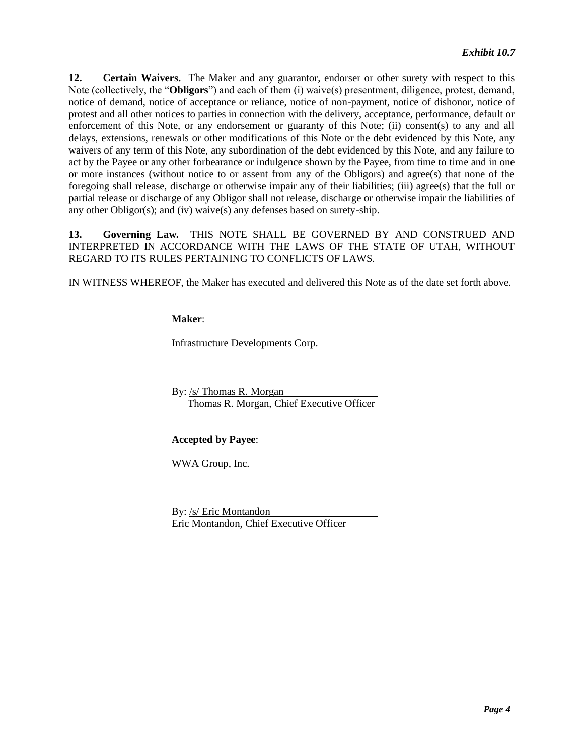**12. Certain Waivers.** The Maker and any guarantor, endorser or other surety with respect to this Note (collectively, the "**Obligors**") and each of them (i) waive(s) presentment, diligence, protest, demand, notice of demand, notice of acceptance or reliance, notice of non-payment, notice of dishonor, notice of protest and all other notices to parties in connection with the delivery, acceptance, performance, default or enforcement of this Note, or any endorsement or guaranty of this Note; (ii) consent(s) to any and all delays, extensions, renewals or other modifications of this Note or the debt evidenced by this Note, any waivers of any term of this Note, any subordination of the debt evidenced by this Note, and any failure to act by the Payee or any other forbearance or indulgence shown by the Payee, from time to time and in one or more instances (without notice to or assent from any of the Obligors) and agree(s) that none of the foregoing shall release, discharge or otherwise impair any of their liabilities; (iii) agree(s) that the full or partial release or discharge of any Obligor shall not release, discharge or otherwise impair the liabilities of any other Obligor(s); and (iv) waive(s) any defenses based on surety-ship.

**13. Governing Law.** THIS NOTE SHALL BE GOVERNED BY AND CONSTRUED AND INTERPRETED IN ACCORDANCE WITH THE LAWS OF THE STATE OF UTAH, WITHOUT REGARD TO ITS RULES PERTAINING TO CONFLICTS OF LAWS.

IN WITNESS WHEREOF, the Maker has executed and delivered this Note as of the date set forth above.

### **Maker**:

Infrastructure Developments Corp.

By: /s/ Thomas R. Morgan Thomas R. Morgan, Chief Executive Officer

### **Accepted by Payee**:

WWA Group, Inc.

By: /s/ Eric Montandon Eric Montandon, Chief Executive Officer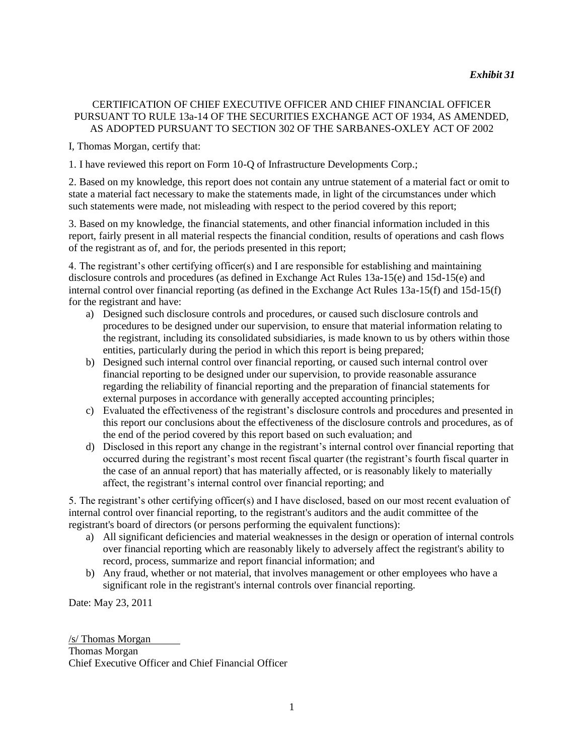### CERTIFICATION OF CHIEF EXECUTIVE OFFICER AND CHIEF FINANCIAL OFFICER PURSUANT TO RULE 13a-14 OF THE SECURITIES EXCHANGE ACT OF 1934, AS AMENDED, AS ADOPTED PURSUANT TO SECTION 302 OF THE SARBANES-OXLEY ACT OF 2002

I, Thomas Morgan, certify that:

1. I have reviewed this report on Form 10-Q of Infrastructure Developments Corp.;

2. Based on my knowledge, this report does not contain any untrue statement of a material fact or omit to state a material fact necessary to make the statements made, in light of the circumstances under which such statements were made, not misleading with respect to the period covered by this report;

3. Based on my knowledge, the financial statements, and other financial information included in this report, fairly present in all material respects the financial condition, results of operations and cash flows of the registrant as of, and for, the periods presented in this report;

4. The registrant's other certifying officer(s) and I are responsible for establishing and maintaining disclosure controls and procedures (as defined in Exchange Act Rules 13a-15(e) and 15d-15(e) and internal control over financial reporting (as defined in the Exchange Act Rules 13a-15(f) and 15d-15(f) for the registrant and have:

- a) Designed such disclosure controls and procedures, or caused such disclosure controls and procedures to be designed under our supervision, to ensure that material information relating to the registrant, including its consolidated subsidiaries, is made known to us by others within those entities, particularly during the period in which this report is being prepared;
- b) Designed such internal control over financial reporting, or caused such internal control over financial reporting to be designed under our supervision, to provide reasonable assurance regarding the reliability of financial reporting and the preparation of financial statements for external purposes in accordance with generally accepted accounting principles;
- c) Evaluated the effectiveness of the registrant's disclosure controls and procedures and presented in this report our conclusions about the effectiveness of the disclosure controls and procedures, as of the end of the period covered by this report based on such evaluation; and
- d) Disclosed in this report any change in the registrant's internal control over financial reporting that occurred during the registrant's most recent fiscal quarter (the registrant's fourth fiscal quarter in the case of an annual report) that has materially affected, or is reasonably likely to materially affect, the registrant's internal control over financial reporting; and

5. The registrant's other certifying officer(s) and I have disclosed, based on our most recent evaluation of internal control over financial reporting, to the registrant's auditors and the audit committee of the registrant's board of directors (or persons performing the equivalent functions):

- a) All significant deficiencies and material weaknesses in the design or operation of internal controls over financial reporting which are reasonably likely to adversely affect the registrant's ability to record, process, summarize and report financial information; and
- b) Any fraud, whether or not material, that involves management or other employees who have a significant role in the registrant's internal controls over financial reporting.

Date: May 23, 2011

/s/ Thomas Morgan Thomas Morgan Chief Executive Officer and Chief Financial Officer